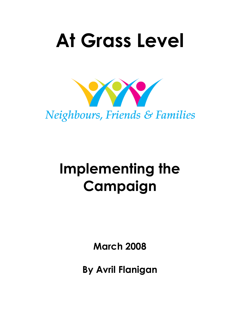# **At Grass Level**



## **Implementing the Campaign**

**March 2008**

**By Avril Flanigan**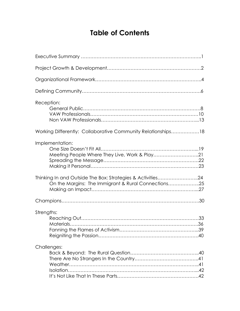## **Table of Contents**

| Reception:                                                                                                                                                                            |
|---------------------------------------------------------------------------------------------------------------------------------------------------------------------------------------|
| Working Differently: Collaborative Community Relationships18                                                                                                                          |
| Implementation:<br>Meeting People Where They Live, Work & Play21<br>Thinking In and Outside The Box: Strategies & Activities24<br>On the Margins: The Immigrant & Rural Connections25 |
|                                                                                                                                                                                       |
| Strengths:                                                                                                                                                                            |
| Challenges:                                                                                                                                                                           |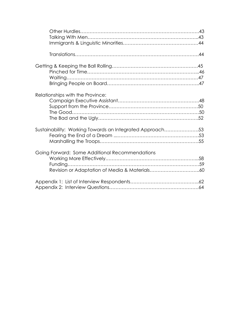| Relationships with the Province:                         |  |
|----------------------------------------------------------|--|
| Sustainability: Working Towards an Integrated Approach53 |  |
| Going Forward: Some Additional Recommendations           |  |
|                                                          |  |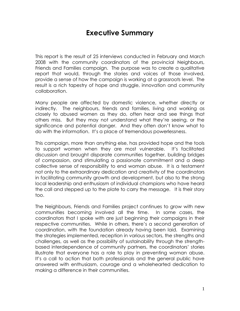## **Executive Summary**

This report is the result of 25 interviews conducted in February and March 2008 with the community coordinators of the provincial Neighbours, Friends and Families campaign. The purpose was to create a qualitative report that would, through the stories and voices of those involved, provide a sense of how the campaign is working at a grassroots level. The result is a rich tapestry of hope and struggle, innovation and community collaboration.

Many people are affected by domestic violence, whether directly or indirectly. The neighbours, friends and families, living and working as closely to abused women as they do, often hear and see things that others miss. But they may not understand what they're seeing, or the significance and potential danger. And they often don't know what to do with the information. It's a place of tremendous powerlessness.

This campaign, more than anything else, has provided hope and the tools to support women when they are most vulnerable. It's facilitated discussion and brought disparate communities together, building bridges of compassion, and stimulating a passionate commitment and a deep collective sense of responsibility to end woman abuse. It is a testament not only to the extraordinary dedication and creativity of the coordinators in facilitating community growth and development, but also to the strong local leadership and enthusiasm of individual champions who have heard the call and stepped up to the plate to carry the message. It is their story too.

The Neighbours, Friends and Families project continues to grow with new communities becoming involved all the time. In some cases, the coordinators that I spoke with are just beginning their campaigns in their respective communities. While in others, there's a second generation of coordination, with the foundation already having been laid. Examining the strategies implemented, reception in various sectors, the strengths and challenges, as well as the possibility of sustainability through the strengthbased interdependence of community partners, the coordinators' stories illustrate that everyone has a role to play in preventing woman abuse. It's a call to action that both professionals and the general public have answered with enthusiasm, courage and a wholehearted dedication to making a difference in their communities.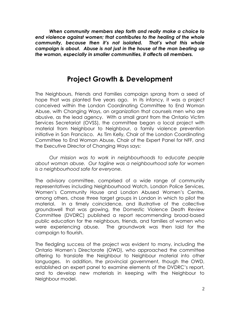*When community members step forth and really make a choice to end violence against women; that contributes to the healing of the whole community, because then it's not isolated. That's what this whole campaign is about. Abuse is not just in the house of the man beating up the woman, especially in smaller communities, it affects all members.*

## **Project Growth & Development**

The Neighbours, Friends and Families campaign sprang from a seed of hope that was planted five years ago. In its infancy, it was a project conceived within the London Coordinating Committee to End Woman Abuse, with Changing Ways, an organization that counsels men who are abusive, as the lead agency. With a small grant from the Ontario Victim Services Secretariat (OVSS), the committee began a local project with material from Neighbour to Neighbour, a family violence prevention initiative in San Francisco. As Tim Kelly, Chair of the London Coordinating Committee to End Woman Abuse, Chair of the Expert Panel for NFF, and the Executive Director of Changing Ways says:

*Our mission was to work in neighbourhoods to educate people about woman abuse. Our tagline was a neighbourhood safe for women is a neighbourhood safe for everyone.*

The advisory committee, comprised of a wide range of community representatives including Neighbourhood Watch, London Police Services, Women's Community House and London Abused Women's Centre, among others, chose three target groups in London in which to pilot the material. In a timely coincidence, and illustrative of the collective groundswell that was growing, the Domestic Violence Death Review Committee (DVDRC) published a report recommending broad-based public education for the neighbours, friends, and families of women who were experiencing abuse. The groundwork was then laid for the campaign to flourish.

The fledgling success of the project was evident to many, including the Ontario Women's Directorate (OWD), who approached the committee offering to translate the Neighbour to Neighbour material into other languages. In addition, the provincial government, though the OWD, established an expert panel to examine elements of the DVDRC's report, and to develop new materials in keeping with the Neighbour to Neighbour model.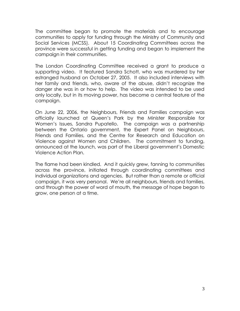The committee began to promote the materials and to encourage communities to apply for funding through the Ministry of Community and Social Services (MCSS). About 15 Coordinating Committees across the province were successful in getting funding and began to implement the campaign in their communities.

The London Coordinating Committee received a grant to produce a supporting video. It featured Sandra Schott, who was murdered by her estranged husband on October 27, 2005. It also included interviews with her family and friends, who, aware of the abuse, didn't recognize the danger she was in or how to help. The video was intended to be used only locally, but in its moving power, has become a central feature of the campaign.

On June 22, 2006, the Neighbours, Friends and Families campaign was officially launched at Queen's Park by the Minister Responsible for Women's Issues, Sandra Pupatello. The campaign was a partnership between the Ontario government, the Expert Panel on Neighbours, Friends and Families, and the Centre for Research and Education on Violence against Women and Children. The commitment to funding, announced at the launch, was part of the Liberal government's Domestic Violence Action Plan.

The flame had been kindled. And it quickly grew, fanning to communities across the province, initiated through coordinating committees and individual organizations and agencies. But rather than a remote or official campaign, it was very personal. We're all neighbours, friends and families, and through the power of word of mouth, the message of hope began to grow, one person at a time.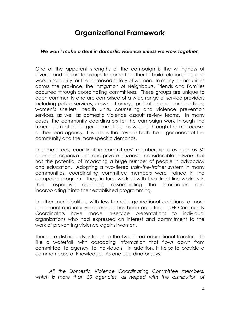## **Organizational Framework**

#### *We won't make a dent in domestic violence unless we work together.*

One of the apparent strengths of the campaign is the willingness of diverse and disparate groups to come together to build relationships, and work in solidarity for the increased safety of women. In many communities across the province, the instigation of Neighbours, Friends and Families occurred through coordinating committees. These groups are unique to each community and are comprised of a wide range of service providers including police services, crown attorneys, probation and parole offices, women's shelters, health units, counseling and violence prevention services, as well as domestic violence assault review teams. In many cases, the community coordinators for the campaign work through the macrocosm of the larger committees, as well as through the microcosm of their lead agency. It is a lens that reveals both the larger needs of the community and the more specific demands.

In some areas, coordinating committees' membership is as high as 60 agencies, organizations, and private citizens; a considerable network that has the potential of impacting a huge number of people in advocacy and education. Adopting a two-tiered *train-the-trainer* system in many communities, coordinating committee members were trained in the campaign program. They, in turn, worked with their front line workers in their respective agencies, disseminating the information and incorporating it into their established programming.

In other municipalities, with less formal organizational coalitions, a more piecemeal and intuitive approach has been adopted. NFF Community Coordinators have made in-service presentations to individual organizations who had expressed an interest and commitment to the work of preventing violence against women.

There are distinct advantages to the two-tiered educational transfer. It's like a waterfall, with cascading information that flows down from committee, to agency, to individuals. In addition, it helps to provide a common base of knowledge. As one coordinator says:

*All the Domestic Violence Coordinating Committee members, which is more than 30 agencies, all helped with the distribution of*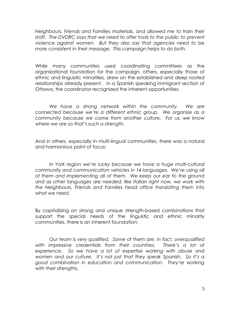*Neighbours, Friends and Families materials, and allowed me to train their staff. The DVDRC says that we need to offer tools to the public to prevent violence against women. But they also say that agencies need to be more consistent in their message. This campaign helps to do both.*

While many communities used coordinating committees as the organizational foundation for the campaign, others, especially those of ethnic and linguistic minorities, drew on the established and deep rooted relationships already present. In a Spanish speaking immigrant section of Ottawa, the coordinator recognized the inherent opportunities:

*We have a strong network within the community. We are connected because we"re a different ethnic group. We organize as a community because we come from another culture. For us, we know where we are so that"s such a strength.*

And in others, especially in multi-lingual communities, there was a natural and harmonious point of focus:

*In York region we"re lucky because we have a huge multi-cultural community and communication vehicles in 14 languages. We"re using all of them and implementing all of them. We keep our ear to the ground and as other languages are needed, like Italian right now, we work with the Neighbours, Friends and Families head office translating them into what we need.*

By capitalizing on strong and unique strength-based combinations that support the special needs of the linguistic and ethnic minority communities, there is an inherent foundation:

*Our team is very qualified. Some of them are, in fact, overqualified with impressive credentials from their countries. There"s a lot of experience. So we have a lot of expertise working with abuse and women and our culture. It"s not just that they speak Spanish. So it"s a good combination in education and communication. They"re working with their strengths.*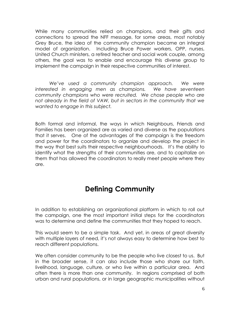While many communities relied on champions, and their gifts and connections to spread the NFF message, for some areas, most notably Grey Bruce, the idea of the community champion became an integral model of organization. Including Bruce Power workers, OPP, nurses, United Church ministers, a retired teacher and social work couple, among others, the goal was to enable and encourage this diverse group to implement the campaign in their respective communities of interest.

*We"ve used a community champion approach. We were interested in engaging men as champions. We have seventeen community champions who were recruited. We chose people who are not already in the field of VAW, but in sectors in the community that we wanted to engage in this subject.*

Both formal and informal, the ways in which Neighbours, Friends and Families has been organized are as varied and diverse as the populations that it serves. One of the advantages of the campaign is the freedom and power for the coordinators to organize and develop the project in the way that best suits their respective neighbourhoods. It's the ability to identify what the strengths of their communities are, and to capitalize on them that has allowed the coordinators to really meet people where they are.

## **Defining Community**

In addition to establishing an organizational platform in which to roll out the campaign, one the most important initial steps for the coordinators was to determine and define the communities that they hoped to reach.

This would seem to be a simple task. And yet, in areas of great diversity with multiple layers of need, it's not always easy to determine how best to reach different populations.

We often consider community to be the people who live closest to us. But in the broader sense, it can also include those who share our faith, livelihood, language, culture, or who live within a particular area. And often there is more than one community. In regions comprised of both urban and rural populations, or in large geographic municipalities without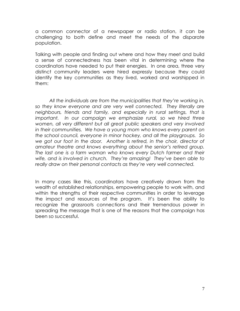a common connector of a newspaper or radio station, it can be challenging to both define and meet the needs of the disparate population.

Talking with people and finding out where and how they meet and build a sense of connectedness has been vital in determining where the coordinators have needed to put their energies. In one area, three very distinct community leaders were hired expressly because they could identify the key communities as they lived, worked and worshipped in them:

*All the individuals are from the municipalities that they"re working in, so they know everyone and are very well connected. They literally are neighbours, friends and family, and especially in rural settings, that is important. In our campaign we emphasize rural, so we hired three women, all very different but all great public speakers and very involved in their communities. We have a young mom who knows every parent on the school council, everyone in minor hockey, and all the playgroups. So we got our foot in the door. Another is retired, in the choir, director of amateur theatre and knows everything about the senior"s retired group. The last one is a farm woman who knows every Dutch farmer and their wife, and is involved in church. They"re amazing! They"ve been able to really draw on their personal contacts as they"re very well connected.*

In many cases like this, coordinators have creatively drawn from the wealth of established relationships, empowering people to work with, and within the strengths of their respective communities in order to leverage the impact and resources of the program. It's been the ability to recognize the grassroots connections and their tremendous power in spreading the message that is one of the reasons that the campaign has been so successful.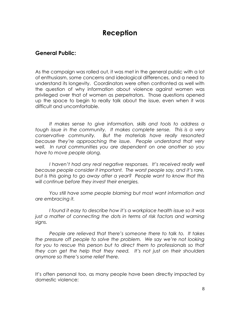## **Reception**

#### **General Public:**

As the campaign was rolled out, it was met in the general public with a lot of enthusiasm, some concerns and ideological differences, and a need to understand its longevity. Coordinators were often confronted as well with the question of why information about violence against women was privileged over that of women as perpetrators. Those questions opened up the space to begin to really talk about the issue, even when it was difficult and uncomfortable.

*It makes sense to give information, skills and tools to address a tough issue in the community. It makes complete sense. This is a very conservative community. But the materials have really resonated because they"re approaching the issue. People understand that very well. In rural communities you are dependent on one another so you have to move people along.*

*I haven't had any real negative responses. It's received really well because people consider it important. The worst people say, and it"s rare, but is this going to go away after a year? People want to know that this will continue before they invest their energies.*

*You still have some people blaming but most want information and are embracing it.*

*I found it easy to describe how it"s a workplace health issue so it was just a matter of connecting the dots in terms of risk factors and warning signs.*

*People are relieved that there"s someone there to talk to. It takes the pressure off people to solve the problem. We say we"re not looking for you to rescue this person but to direct them to professionals so that they can get the help that they need. It"s not just on their shoulders anymore so there"s some relief there.*

It's often personal too, as many people have been directly impacted by domestic violence: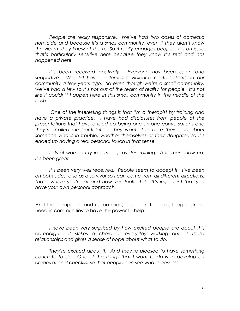*People are really responsive. We"ve had two cases of domestic homicide and because it"s a small community, even if they didn"t know the victim, they knew of them. So it really engages people. It"s an issue that"s particularly sensitive here because they know it"s real and has happened here.*

*It"s been received positively. Everyone has been open and supportive. We did have a domestic violence related death in our community a few years ago. So even though we"re a small community, we"ve had a few so it"s not out of the realm of reality for people. It"s not like it couldn"t happen here in this small community in the middle of the bush.*

*One of the interesting things is that I"m a therapist by training and have a private practice. I have had disclosures from people at the presentations that have ended up being one-on-one conversations and they"ve called me back later. They wanted to bare their souls about someone who is in trouble, whether themselves or their daughter, so it"s ended up having a real personal touch in that sense.*

Lots of women cry in service provider training. And men show up. *It"s been great.*

*It"s been very well received. People seem to accept it. I"ve been on both sides, also as a survivor so I can come from all different directions. That"s where you"re at and how you look at it. It"s important that you have your own personal approach.*

And the campaign, and its materials, has been tangible, filling a strong need in communities to have the power to help:

*I have been very surprised by how excited people are about this campaign. It strikes a chord of everyday working out of those relationships and gives a sense of hope about what to do.* 

*They"re excited about it. And they"re pleased to have something concrete to do. One of the things that I want to do is to develop an organizational checklist so that people can see what"s possible.*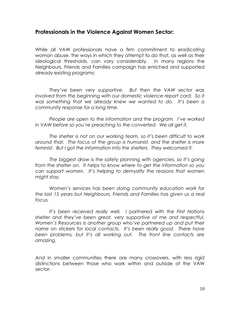#### **Professionals in the Violence Against Women Sector:**

While all VAW professionals have a firm commitment to eradicating woman abuse, the ways in which they attempt to do that, as well as their ideological thresholds, can vary considerably. In many regions the Neighbours, Friends and Families campaign has enriched and supported already existing programs:

*They"ve been very supportive. But then the VAW sector was involved from the beginning with our domestic violence report card. So it was something that we already knew we wanted to do. It"s been a community response for a long time.*

*People are open to the information and the program. I"ve worked in VAW before so you"re preaching to the converted. We all get it.*

*The shelter is not on our working team, so it"s been difficult to work around that. The focus of the group is humanist, and the shelter is more feminist. But I got the information into the shelters. They welcomed it.*

*The biggest draw is the safety planning with agencies, so it"s going from the shelter on. It helps to know where to get the information so you can support women. It"s helping to demystify the reasons that women might stay.*

*Women"s services has been doing community education work for the last 15 years but Neighbours, Friends and Families has given us a real focus.* 

*It"s been received really well. I partnered with the First Nations shelter and they"ve been great, very supportive of me and respectful. Women"s Resources is another group who"ve partnered up and put their name on stickers for local contacts. It"s been really good. There have been problems, but it"s all working out. The front line contacts are amazing.*

And in smaller communities there are many crossovers, with less rigid distinctions between those who work within and outside of the VAW sector: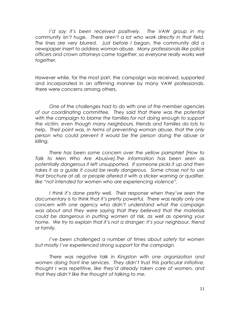*I"d say it"s been received positively. The VAW group in my community isn"t huge. There aren"t a lot who work directly in that field. The lines are very blurred. Just before I began, the community did a newspaper insert to address woman abuse. Many professionals like police officers and crown attorneys came together, so everyone really works well together.*

However while, for the most part, the campaign was received, supported and incorporated in an affirming manner by many VAW professionals, there were concerns among others.

*One of the challenges had to do with one of the member agencies of our coordinating committee. They said that there was the potential*  with the campaign to blame the families for not doing enough to support *the victim, even though many neighbours, friends and families do lots to help. Their point was, in terms of preventing woman abuse, that the only person who could prevent it would be the person doing the abuse or killing.*

*There has been some concern over the yellow pamphlet [How to Talk to Men Who Are Abusive].The information has been seen as potentially dangerous if left unsupported. If someone picks it up and then takes it as a guide it could be really dangerous. Some chose not to use that brochure at all, or people altered it with a sticker warning or qualifier, like "not intended for women who are experiencing violence".* 

*I think it"s done pretty well. Their response when they"ve seen the documentary is to think that it"s pretty powerful. There was really only one concern with one agency who didn"t understand what the campaign was about and they were saying that they believed that the materials could be dangerous in putting women at risk, as well as opening your home. We try to explain that it"s not a stranger; it"s your neighbour, friend or family.*

*I"ve been challenged a number of times about safety for women but mostly I"ve experienced strong support for the campaign.*

*There was negative talk in Kingston with one organization and women doing front line services. They didn"t trust this particular initiative, thought I was repetitive, like they"d already taken care of women, and that they didn"t like the thought of talking to me.*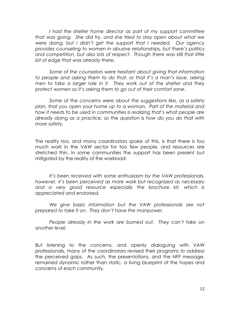*I had the shelter home director as part of my support committee that was going. She did try, and she tried to stay open about what we were doing, but I didn"t get the support that I needed. Our agency provides counseling to women in abusive relationships, but there"s politics and competition, but also lots of respect. Though there was still that little bit of edge that was already there.*

*Some of the counselors were hesitant about giving that information to people and asking them to do that, or that it"s a man"s issue, asking men to take a larger role in it. They work out of the shelter and they protect women so it"s asking them to go out of their comfort zone.*

*Some of the concerns were about the suggestions like, as a safety plan, that you open your home up to a woman. Part of the material and how it needs to be used in communities is realizing that"s what people are already doing as a practice, so the question is how do you do that with more safety.*

The reality too, and many coordinators spoke of this, is that there is too much work in the VAW sector for too few people, and resources are stretched thin. In some communities the support has been present but mitigated by the reality of the workload:

*It"s been received with some enthusiasm by the VAW professionals, however, it"s been perceived as more work but recognized as necessary and a very good resource especially the brochure kit, which is appreciated and endorsed.*

*We give basic information but the VAW professionals are not prepared to take it on. They don"t have the manpower.*

*People already in the work are burned out. They can"t take on another level.*

But listening to the concerns, and openly dialoguing with VAW professionals, many of the coordinators revised their programs to address the perceived gaps. As such, the presentations, and the NFF message, remained dynamic rather than static, a living blueprint of the hopes and concerns of each community.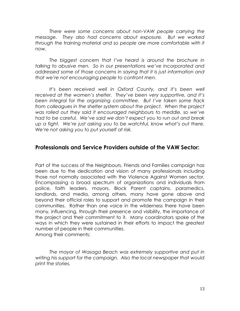*There were some concerns about non-VAW people carrying the message. They also had concerns about exposure. But we worked*  through the training material and so people are more comfortable with it *now.*

*The biggest concern that I"ve heard is around the brochure in talking to abusive men. So in our presentations we"ve incorporated and addressed some of those concerns in saying that it is just information and that we"re not encouraging people to confront men.*

*It"s been received well in Oxford County, and it"s been well received at the women"s shelter. They"ve been very supportive, and it"s been integral for the organizing committee. But I"ve taken some flack from colleagues in the shelter system about the project. When the project was rolled out they said it encouraged neighbours to meddle, so we"ve had to be careful. We"ve said we don"t expect you to run out and break up a fight. We"re just asking you to be watchful, know what"s out there. We"re not asking you to put yourself at risk.*

#### **Professionals and Service Providers outside of the VAW Sector:**

Part of the success of the Neighbours, Friends and Families campaign has been due to the dedication and vision of many professionals including those not normally associated with the Violence Against Women sector. Encompassing a broad spectrum of organizations and individuals from police, faith leaders, mayors, Block Parent captains, paramedics, landlords, and media, among others, many have gone above and beyond their official roles to support and promote the campaign in their communities. Rather than one voice in the wilderness there have been many, influencing, through their presence and visibility, the importance of the project and their commitment to it. Many coordinators spoke of the ways in which they were sustained in their efforts to impact the greatest number of people in their communities. Among their comments:

*The mayor of Wasaga Beach was extremely supportive and put in writing his support for the campaign. Also the local newspaper that would print the stories.*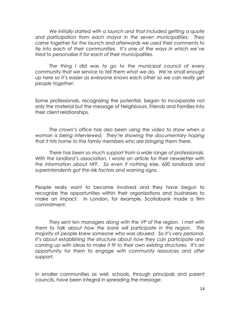*We initially started with a launch and that included getting a quote and participation from each mayor in the seven municipalities. They came together for the launch and afterwards we used their comments to tie into each of their communities. It"s one of the ways in which we"ve tried to personalize it for each of their municipalities.*

*The thing I did was to go to the municipal council of every community that we service to tell them what we do. We"re small enough up here so it"s easier as everyone knows each other so we can really get people together.* 

Some professionals, recognizing the potential, began to incorporate not only the material but the message of Neighbours, Friends and Families into their client relationships.

*The crown"s office has also been using the video to show when a woman is being interviewed. They"re showing the documentary hoping that it hits home to the family members who are bringing them there.*

*There has been so much support from a wide range of professionals. With the landlord"s association, I wrote an article for their newsletter with the information about NFF. So even if nothing else, 600 landlords and superintendents got the risk factors and warning signs.*

People really want to become involved and they have begun to recognize the opportunities within their organizations and businesses to make an impact. In London, for example, Scotiabank made a firm commitment:

*They sent ten managers along with the VP of the region. I met with them to talk about how the bank will participate in this region. The majority of people knew someone who was abused. So it"s very personal. It"s about establishing the structure about how they can participate and coming up with ideas to make it fit to their own existing structures. It"s an opportunity for them to engage with community resources and offer support.*

In smaller communities as well, schools, through principals and parent councils, have been integral in spreading the message: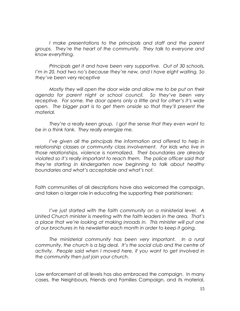*I make presentations to the principals and staff and the parent groups. They"re the heart of the community. They talk to everyone and know everything.* 

*Principals get it and have been very supportive. Out of 30 schools, I"m in 20, had two no"s because they"re new, and I have eight waiting. So they"ve been very receptive*

*Mostly they will open the door wide and allow me to be put on their agenda for parent night or school council. So they"ve been very receptive. For some, the door opens only a little and for other"s it"s wide open. The bigger part is to get them onside so that they"ll present the material.*

*They"re a really keen group. I got the sense that they even want to be in a think tank. They really energize me.*

*I've given all the principals the information and offered to help in relationship classes or community class involvement. For kids who live in those relationships, violence is normalized. Their boundaries are already violated so it"s really important to reach them. The police officer said that they"re starting in kindergarten now beginning to talk about healthy boundaries and what"s acceptable and what"s not.*

Faith communities of all descriptions have also welcomed the campaign, and taken a larger role in educating the supporting their parishioners:

*I"ve just started with the faith community on a ministerial level. A United Church minister is meeting with the faith leaders in the area. That"s a place that we"re looking at making inroads in. This minister will put one of our brochures in his newsletter each month in order to keep it going.* 

*The ministerial community has been very important. In a rural community, the church is a big deal. It"s the social club and the centre of activity. People said when I moved here, if you want to get involved in the community then just join your church.*

Law enforcement at all levels has also embraced the campaign. In many cases, the Neighbours, Friends and Families Campaign, and its material,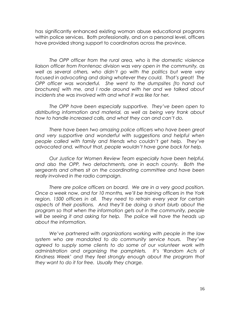has significantly enhanced existing woman abuse educational programs within police services. Both professionally, and on a personal level, officers have provided strong support to coordinators across the province.

*The OPP officer from the rural area, who is the domestic violence liaison officer from Frontenac division was very open in the community, as well as several others, who didn"t go with the politics but were very focused in advocating and doing whatever they could. That"s great! The OPP officer was wonderful. She went to the dumpsites [to hand out brochures] with me, and I rode around with her and we talked about incidents she was involved with and what it was like for her.*

*The OPP have been especially supportive. They"ve been open to distributing information and material, as well as being very frank about how to handle increased calls, and what they can and can"t do.*

*There have been two amazing police officers who have been great*  and very supportive and wonderful with suggestions and helpful when *people called with family and friends who couldn"t get help. They"ve advocated and, without that, people wouldn"t have gone back for help.*

*Our Justice for Women Review Team especially have been helpful, and also the OPP, two detachments, one in each county. Both the sergeants and others sit on the coordinating committee and have been really involved in the radio campaign.*

*There are police officers on board. We are in a very good position. Once a week now, and for 10 months, we"ll be training officers in the York region, 1500 officers in all. They need to retrain every year for certain aspects of their positions. And they"ll be doing a short blurb about the program so that when the information gets out in the community, people will be seeing it and asking for help. The police will have the heads up about the information.*

*We"ve partnered with organizations working with people in the law system who are mandated to do community service hours. They"ve agreed to supply some clients to do some of our volunteer work with administration and organizing the pamphlets. It"s "Random Acts of Kindness Week" and they feel strongly enough about the program that they want to do it for free. Usually they charge.*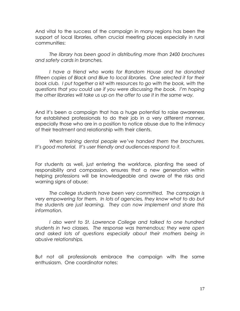And vital to the success of the campaign in many regions has been the support of local libraries, often crucial meeting places especially in rural communities:

*The library has been good in distributing more than 2400 brochures and safety cards in branches.* 

*I have a friend who works for Random House and he donated*  fifteen copies of Black and Blue to local libraries. One selected it for their *book club. I put together a kit with resources to go with the book, with the questions that you could use if you were discussing the book. I"m hoping the other libraries will take us up on the offer to use it in the same way.* 

And it's been a campaign that has a huge potential to raise awareness for established professionals to do their job in a very different manner, especially those who are in a position to notice abuse due to the intimacy of their treatment and relationship with their clients.

*When training dental people we"ve handed them the brochures. It"s good material. It"s user friendly and audiences respond to it.*

For students as well, just entering the workforce, planting the seed of responsibility and compassion, ensures that a new generation within helping professions will be knowledgeable and aware of the risks and warning signs of abuse:

*The college students have been very committed. The campaign is very empowering for them. In lots of agencies, they know what to do but the students are just learning. They can now implement and share this information.*

*I also went to St. Lawrence College and talked to one hundred students in two classes. The response was tremendous; they were open and asked lots of questions especially about their mothers being in abusive relationships.*

But not all professionals embrace the campaign with the same enthusiasm. One coordinator notes: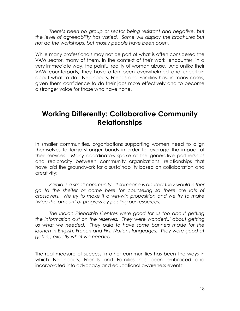*There"s been no group or sector being resistant and negative, but the level of agreeability has varied. Some will display the brochures but not do the workshops, but mostly people have been open.*

While many professionals may not be part of what is often considered the VAW sector, many of them, in the context of their work, encounter, in a very immediate way, the painful reality of woman abuse. And unlike their VAW counterparts, they have often been overwhelmed and uncertain about what to do. Neighbours, Friends and Families has, in many cases, given them confidence to do their jobs more effectively and to become a stronger voice for those who have none.

## **Working Differently: Collaborative Community Relationships**

In smaller communities, organizations supporting women need to align themselves to forge stronger bonds in order to leverage the impact of their services. Many coordinators spoke of the generative partnerships and reciprocity between community organizations, relationships that have laid the groundwork for a sustainability based on collaboration and creativity:

*Sarnia is a small community. If someone is abused they would either go to the shelter or come here for counseling so there are lots of crossovers. We try to make it a win-win proposition and we try to make twice the amount of progress by pooling our resources.*

*The Indian Friendship Centres were good for us too about getting the information out on the reserves. They were wonderful about getting us what we needed. They paid to have some banners made for the launch in English, French and First Nations languages. They were good at getting exactly what we needed.*

The real measure of success in other communities has been the ways in which Neighbours, Friends and Families has been embraced and incorporated into advocacy and educational awareness events: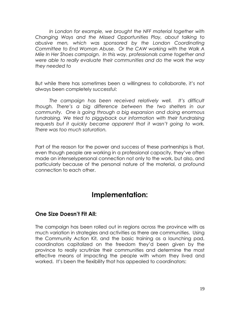*In London for example, we brought the NFF material together with Changing Ways and the Missed Opportunities Play, about talking to abusive men, which was sponsored by the London Coordinating Committee to End Woman Abuse. Or the CAW working with the Walk A Mile In Her Shoes campaign. In this way, professionals came together and were able to really evaluate their communities and do the work the way they needed to*

But while there has sometimes been a willingness to collaborate, it's not always been completely successful:

*The campaign has been received relatively well. It"s difficult though. There"s a big difference between the two shelters in our community. One is going through a big expansion and doing enormous fundraising. We tried to piggyback our information with their fundraising requests but it quickly became apparent that it wasn"t going to work. There was too much saturation.*

Part of the reason for the power and success of these partnerships is that, even though people are working in a professional capacity, they've often made an intenselypersonal connection not only to the work, but also, and particularly because of the personal nature of the material, a profound connection to each other.

## **Implementation:**

#### **One Size Doesn't Fit All:**

The campaign has been rolled out in regions across the province with as much variation in strategies and activities as there are communities. Using the Community Action Kit, and the basic training as a launching pad, coordinators capitalized on the freedom they'd been given by the province to really scrutinize their communities and determine the most effective means of impacting the people with whom they lived and worked. It's been the flexibility that has appealed to coordinators: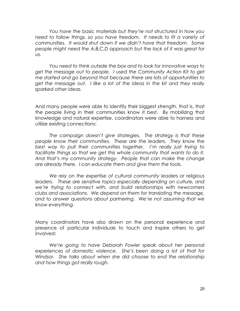*You have the basic materials but they"re not structured in how you need to follow things, so you have freedom. It needs to fit a variety of communities. It would shut down if we didn"t have that freedom. Some people might need the A,B,C,D approach but the lack of it was great for us.*

*You need to think outside the box and to look for innovative ways to get the message out to people. I used the Community Action Kit to get me started and go beyond that because there are lots of opportunities to get the message out. I like a lot of the ideas in the kit and they really sparked other ideas.* 

And many people were able to identify their biggest strength, that is, that the people living in their communities know it best. By mobilizing that knowledge and natural expertise, coordinators were able to harness and utilize existing connections:

*The campaign doesn"t give strategies. The strategy is that these people know their communities. These are the leaders. They know the best way to pull their communities together. I"m really just trying to facilitate things so that we get this whole community that wants to do it. And that"s my community strategy. People that can make the change are already there. I can educate them and give them the tools.*

*We rely on the expertise of cultural community leaders or religious leaders. These are sensitive topics especially depending on culture, and we"re trying to connect with, and build relationships with newcomers clubs and associations. We depend on them for translating the message, and to answer questions about partnering. We"re not assuming that we know everything.*

Many coordinators have also drawn on the personal experience and presence of particular individuals to touch and inspire others to get involved:

*We"re going to have Deborah Fowler speak about her personal experiences of domestic violence. She"s been doing a lot of that for Windsor. She talks about when she did choose to end the relationship and how things got really rough.*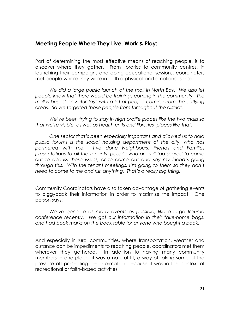#### **Meeting People Where They Live, Work & Play:**

Part of determining the most effective means of reaching people, is to discover where they gather. From libraries to community centres, in launching their campaigns and doing educational sessions, coordinators met people where they were in both a physical and emotional sense:

*We did a large public launch at the mall in North Bay. We also let people know that there would be trainings coming in the community. The mall is busiest on Saturdays with a lot of people coming from the outlying areas. So we targeted those people from throughout the district.*

*We"ve been trying to stay in high profile places like the two malls so that we"re visible, as well as health units and libraries, places like that.*

*One sector that"s been especially important and allowed us to hold public forums is the social housing department of the city, who has partnered with me. I"ve done Neighbours, Friends and Families presentations to all the tenants, people who are still too scared to come out to discuss these issues, or to come out and say my friend"s going through this. With the tenant meetings, I"m going to them so they don"t need to come to me and risk anything. That"s a really big thing.*

Community Coordinators have also taken advantage of gathering events to piggyback their information in order to maximize the impact. One person says:

*We"ve gone to as many events as possible, like a large trauma conference recently. We got our information in their take-home bags, and had book marks on the book table for anyone who bought a book.*

And especially in rural communities, where transportation, weather and distance can be impediments to reaching people, coordinators met them wherever they gathered. In addition to having many community members in one place, it was a natural fit, a way of taking some of the pressure off presenting the information because it was in the context of recreational or faith-based activities: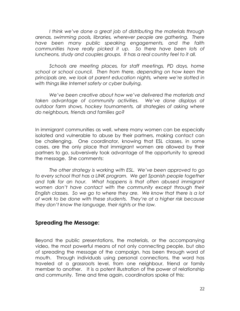*I think we"ve done a great job of distributing the materials through arenas, swimming pools, libraries, wherever people are gathering. There have been many public speaking engagements, and the faith communities have really picked it up. So there have been lots of luncheons, study and couples groups. It has a real country feel to it all.*

*Schools are meeting places, for staff meetings, PD days, home school or school council. Then from there, depending on how keen the principals are, we look at parent education nights, where we"re slotted in with things like Internet safety or cyber bullying.* 

*We"ve been creative about how we"ve delivered the materials and taken advantage of community activities. We"ve done displays at outdoor farm shows, hockey tournaments, all strategies of asking where do neighbours, friends and families go?*

In immigrant communities as well, where many women can be especially isolated and vulnerable to abuse by their partners, making contact can be challenging. One coordinator, knowing that ESL classes, in some cases, are the only place that immigrant women are allowed by their partners to go, subversively took advantage of the opportunity to spread the message. She comments:

*The other strategy is working with ESL. We"ve been approved to go*  to every school that has a LINK program. We get Spanish people together *and talk for an hour. What happens is that often abused immigrant women don"t have contact with the community except through their English classes. So we go to where they are. We know that there is a lot of work to be done with these students. They"re at a higher risk because they don"t know the language, their rights or the law.*

#### **Spreading the Message:**

Beyond the public presentations, the materials, or the accompanying video, the most powerful means of not only connecting people, but also of spreading the message of the campaign, has been through word of mouth. Through individuals using personal connections, the word has traveled at a grassroots level, from one neighbour, friend or family member to another. It is a potent illustration of the power of relationship and community. Time and time again, coordinators spoke of this: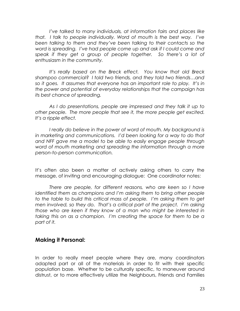*I"ve talked to many individuals, at information fairs and places like that. I talk to people individually. Word of mouth is the best way. I"ve been talking to them and they"ve been talking to their contacts so the word is spreading. I"ve had people come up and ask if I could come and speak if they get a group of people together. So there"s a lot of enthusiasm in the community.*

*It"s really based on the Breck effect. You know that old Breck shampoo commercial? I told two friends, and they told two friends…and so it goes. It assumes that everyone has an important role to play. It"s in the power and potential of everyday relationships that the campaign has its best chance of spreading.*

*As I do presentations, people are impressed and they talk it up to other people. The more people that see it, the more people get excited. It"s a ripple effect.*

*I really do believe in the power of word of mouth. My background is in marketing and communications. I"d been looking for a way to do that and NFF gave me a model to be able to easily engage people through word of mouth marketing and spreading the information through a more person-to-person communication.*

It's often also been a matter of actively asking others to carry the message, of inviting and encouraging dialogue: One coordinator notes:

*There are people, for different reasons, who are keen so I have identified them as champions and I"m asking them to bring other people to the table to build this critical mass of people. I"m asking them to get men involved, so they do. That"s a critical part of the project. I"m asking those who are keen if they know of a man who might be interested in taking this on as a champion. I"m creating the space for them to be a part of it.*

#### **Making it Personal:**

In order to really meet people where they are, many coordinators adapted part or all of the materials in order to fit with their specific population base. Whether to be culturally specific, to maneuver around distrust, or to more effectively utilize the Neighbours, Friends and Families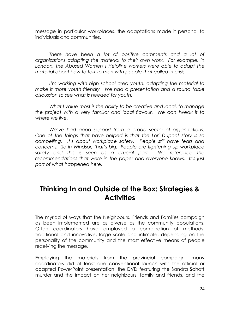message in particular workplaces, the adaptations made it personal to individuals and communities.

*There have been a lot of positive comments and a lot of organizations adapting the material to their own work. For example, in London, the Abused Women"s Helpline workers were able to adapt the material about how to talk to men with people that called in crisis.* 

*I"m working with high school area youth, adapting the material to make it more youth friendly. We had a presentation and a round table discussion to see what is needed for youth.*

*What I value most is the ability to be creative and local, to manage the project with a very familiar and local flavour. We can tweak it to where we live.* 

*We"ve had good support from a broad sector of organizations. One of the things that have helped is that the Lori Dupont story is so compelling. It"s about workplace safety. People still have fears and concerns. So in Windsor, that"s big. People are tightening up workplace safety and this is seen as a crucial part. We reference the recommendations that were in the paper and everyone knows. It"s just part of what happened here.*

## **Thinking In and Outside of the Box: Strategies & Activities**

The myriad of ways that the Neighbours, Friends and Families campaign as been implemented are as diverse as the community populations. Often coordinators have employed a combination of methods: traditional and innovative, large scale and intimate, depending on the personality of the community and the most effective means of people receiving the message.

Employing the materials from the provincial campaign, many coordinators did at least one conventional launch with the official or adapted PowerPoint presentation, the DVD featuring the Sandra Schott murder and the impact on her neighbours, family and friends, and the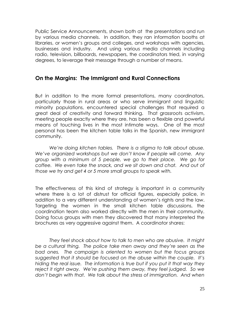Public Service Announcements, shown both at the presentations and run by various media channels. In addition, they ran information booths at libraries, or women's groups and colleges, and workshops with agencies, businesses and industry. And using various media channels including radio, television, billboards, newspapers, the coordinators tried, in varying degrees, to leverage their message through a number of means.

#### **On the Margins: The Immigrant and Rural Connections**

But in addition to the more formal presentations, many coordinators, particularly those in rural areas or who serve immigrant and linguistic minority populations, encountered special challenges that required a great deal of creativity and forward thinking. That grassroots activism, meeting people exactly where they are, has been a flexible and powerful means of touching lives in the most intimate ways. One of the most personal has been the kitchen table talks in the Spanish, new immigrant community.

*We"re doing kitchen tables. There is a stigma to talk about abuse. We"ve organized workshops but we don"t know if people will come. Any group with a minimum of 5 people, we go to their place. We go for coffee. We even take the snack, and we sit down and chat. And out of those we try and get 4 or 5 more small groups to speak with.* 

The effectiveness of this kind of strategy is important in a community where there is a lot of distrust for official figures, especially police, in addition to a very different understanding of women's rights and the law. Targeting the women in the small kitchen table discussions, the coordination team also worked directly with the men in their community. Doing focus groups with men they discovered that many interpreted the brochures as very aggressive against them. A coordinator shares:

*They feel shock about how to talk to men who are abusive. It might be a cultural thing. The police take men away and they"re seen as the bad ones. The campaign is oriented to women but the focus groups suggested that it should be focused on the abuse within the couple. It"s hiding the real issue. The information is true but if you put it that way they reject it right away. We"re pushing them away, they feel judged. So we don"t begin with that. We talk about the stress of immigration. And when*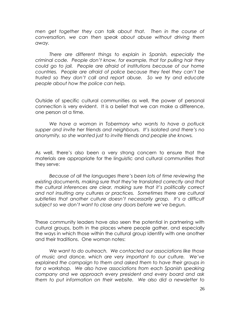*men get together they can talk about that. Then in the course of conversation, we can then speak about abuse without driving them away.*

*There are different things to explain in Spanish, especially the criminal code. People don"t know, for example, that for pulling hair they could go to jail. People are afraid of institutions because of our home countries. People are afraid of police because they feel they can"t be trusted so they don"t call and report abuse. So we try and educate people about how the police can help.*

Outside of specific cultural communities as well, the power of personal connection is very evident. It is a belief that we can make a difference, one person at a time.

*We have a woman in Tobermory who wants to have a potluck supper and invite her friends and neighbours. It"s isolated and there"s no anonymity, so she wanted just to invite friends and people she knows.*

As well, there's also been a very strong concern to ensure that the materials are appropriate for the linguistic and cultural communities that they serve:

*Because of all the languages there"s been lots of time reviewing the existing documents, making sure that they"re translated correctly and that the cultural inferences are clear, making sure that it"s politically correct and not insulting any cultures or practices. Sometimes there are cultural subtleties that another culture doesn"t necessarily grasp. It"s a difficult subject so we don"t want to close any doors before we"ve begun.*

These community leaders have also seen the potential in partnering with cultural groups, both in the places where people gather, and especially the ways in which those within the cultural group identify with one another and their traditions. One woman notes:

*We want to do outreach. We contacted our associations like those of music and dance, which are very important to our culture. We"ve explained the campaign to them and asked them to have their groups in*  for a workshop. We also have associations from each Spanish speaking *company and we approach every president and every board and ask them to put information on their website. We also did a newsletter to*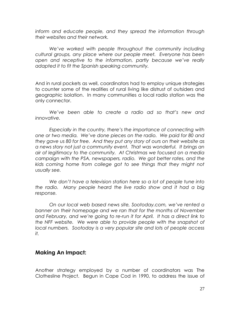*inform and educate people, and they spread the information through their websites and their network.*

*We"ve worked with people throughout the community including cultural groups, any place where our people meet. Everyone has been open and receptive to the information, partly because we"ve really adapted it to fit the Spanish speaking community.*

And in rural pockets as well, coordinators had to employ unique strategies to counter some of the realities of rural living like distrust of outsiders and geographic isolation. In many communities a local radio station was the only connector.

*We"ve been able to create a radio ad so that"s new and innovative.* 

*Especially in the country, there"s the importance of connecting with one or two media. We"ve done pieces on the radio. We paid for 80 and they gave us 80 for free. And they put any story of ours on their website as a news story not just a community event. That was wonderful. It brings an air of legitimacy to the community. At Christmas we focused on a media campaign with the PSA, newspapers, radio. We got better rates, and the kids coming home from college got to see things that they might not usually see.*

*We don"t have a television station here so a lot of people tune into the radio. Many people heard the live radio show and it had a big response.*

*On our local web based news site, Sootoday.com, we"ve rented a banner on their homepage and we ran that for the months of November and February, and we"re going to re-run it for April. It has a direct link to the NFF website. We were able to provide people with the snapshot of local numbers. Sootoday is a very popular site and lots of people access it.*

#### **Making An Impact:**

Another strategy employed by a number of coordinators was The Clothesline Project. Begun in Cape Cod in 1990, to address the issue of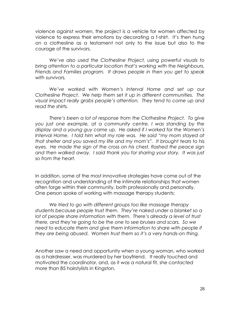violence against women, the project is a vehicle for women affected by violence to express their emotions by decorating a t-shirt. It's then hung on a clothesline as a testament not only to the issue but also to the courage of the survivors.

*We"ve also used the Clothesline Project, using powerful visuals to bring attention to a particular location that"s working with the Neighbours, Friends and Families program. It draws people in then you get to speak with survivors.*

*We"ve worked with Women"s Interval Home and set up our Clothesline Project. We help them set it up in different communities. The visual impact really grabs people"s attention. They tend to come up and read the shirts.*

*There"s been a lot of response from the Clothesline Project. To give you just one example, at a community centre, I was standing by the display and a young guy came up. He asked if I worked for the Women"s Interval Home. I told him what my role was. He said "my mom stayed at that shelter and you saved my life and my mom"s". It brought tears to his eyes. He made the sign of the cross on his chest, flashed the peace sign and then walked away. I said thank you for sharing your story. It was just so from the heart.*

In addition, some of the most innovative strategies have come out of the recognition and understanding of the intimate relationships that women often forge within their community, both professionally and personally. One person spoke of working with massage therapy students:

*We tried to go with different groups too like massage therapy students because people trust them. They"re naked under a blanket so a*  lot of people share information with them. There's already a level of trust *there, and they"re going to be the one to see bruises and scars. So we*  need to educate them and give them information to share with people if *they are being abused. Women trust them so it"s a very hands-on thing.*

Another saw a need and opportunity when a young woman, who worked as a hairdresser, was murdered by her boyfriend. It really touched and motivated the coordinator, and, as it was a natural fit, she contacted more than 85 hairstylists in Kingston.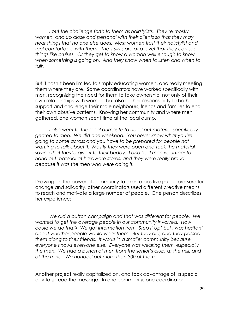*I put the challenge forth to them as hairstylists. They"re mostly women, and up close and personal with their clients so that they may hear things that no one else does. Most women trust their hairstylist and feel comfortable with them. The stylists are at a level that they can see things like bruises. Or they get to know a woman well enough to know when something is going on. And they know when to listen and when to talk.* 

But it hasn't been limited to simply educating women, and really meeting them where they are. Some coordinators have worked specifically with men, recognizing the need for them to take ownership, not only of their own relationships with women, but also of their responsibility to both support and challenge their male neighbours, friends and families to end their own abusive patterns. Knowing her community and where men gathered, one woman spent time at the local dump.

*I also went to the local dumpsite to hand out material specifically geared to men. We did one weekend. You never know what you"re going to come across and you have to be prepared for people not wanting to talk about it. Mostly they were open and took the material, saying that they"d give it to their buddy. I also had men volunteer to hand out material at hardware stores, and they were really proud because it was the men who were doing it.*

Drawing on the power of community to exert a positive public pressure for change and solidarity, other coordinators used different creative means to reach and motivate a large number of people. One person describes her experience:

*We did a button campaign and that was different for people. We wanted to get the average people in our community involved. How could we do that? We got information from "Step It Up" but I was hesitant about whether people would wear them. But they did, and they passed them along to their friends. It works in a smaller community because everyone knows everyone else. Everyone was wearing them, especially the men. We had a bunch of men from the senior"s club, at the mill, and at the mine. We handed out more than 300 of them.*

Another project really capitalized on, and took advantage of, a special day to spread the message. In one community, one coordinator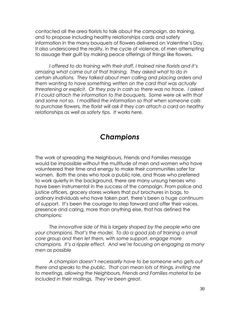contacted all the area florists to talk about the campaign, do training, and to propose including healthy relationships cards and safety information in the many bouquets of flowers delivered on Valentine's Day. It also underscored the reality, in the cycle of violence, of men attempting to assuage their guilt by making peace offerings of things like flowers.

*I offered to do training with their staff. I trained nine florists and it"s amazing what came out of that training. They asked what to do in certain situations. They talked about men calling and placing orders and them wanting to have something written on the card that was actually threatening or explicit. Or they pay in cash so there was no trace. I asked if I could attach the information to the bouquets. Some were ok with that and some not so. I modified the information so that when someone calls to purchase flowers, the florist will ask if they can attach a card on healthy relationships as well as safety tips. It works here.*

## *Champions*

The work of spreading the Neighbours, Friends and Families message would be impossible without the multitude of men and women who have volunteered their time and energy to make their communities safer for women. Both the ones who took a public role, and those who preferred to work quietly in the background, there are many unsung heroes who have been instrumental in the success of the campaign. From police and justice officers, grocery stores workers that put brochures in bags, to ordinary individuals who have taken part, there's been a huge continuum of support. It's been the courage to step forward and offer their voices, presence and caring, more than anything else, that has defined the champions:

*The innovative side of this is largely shaped by the people who are your champions. That"s the model. To do a good job of training a small core group and then let them, with some support, engage more champions. It"s a ripple effect. And we"re focusing on engaging as many men as possible*

*A champion doesn"t necessarily have to be someone who gets out there and speaks to the public. That can mean lots of things, inviting me to meetings, allowing the Neighbours, Friends and Families material to be included in their mailings. They"ve been great.*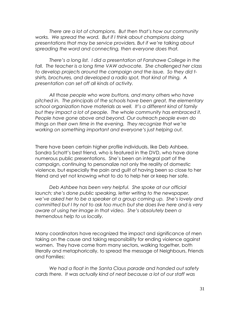*There are a lot of champions. But then that"s how our community*  works. We spread the word. But if I think about champions doing *presentations that may be service providers. But if we"re talking about spreading the word and connecting, then everyone does that.*

*There"s a long list. I did a presentation at Fanshawe College in the fall. The teacher is a long time VAW advocate. She challenged her class to develop projects around the campaign and the issue. So they did tshirts, brochures, and developed a radio spot, that kind of thing. A presentation can set off all kinds of activity.*

*All those people who wore buttons, and many others who have pitched in. The principals of the schools have been great, the elementary school organization have materials as well. It"s a different kind of family but they impact a lot of people. The whole community has embraced it. People have gone above and beyond. Our outreach people even do things on their own time in the evening. They recognize that we"re working on something important and everyone"s just helping out.*

There have been certain higher profile individuals, like Deb Ashbee, Sandra Schott's best friend, who is featured in the DVD, who have done numerous public presentations. She's been an integral part of the campaign, continuing to personalize not only the reality of domestic violence, but especially the pain and guilt of having been so close to her friend and yet not knowing what to do to help her or keep her safe.

*Deb Ashbee has been very helpful. She spoke at our official launch; she"s done public speaking, letter writing to the newspaper, we"ve asked her to be a speaker at a group coming up. She"s lovely and committed but I try not to ask too much but she does live here and is very aware of using her image in that video. She"s absolutely been a tremendous help to us locally.*

Many coordinators have recognized the impact and significance of men taking on the cause and taking responsibility for ending violence against women. They have come from many sectors, walking together, both literally and metaphorically, to spread the message of Neighbours, Friends and Families:

*We had a float in the Santa Claus parade and handed out safety cards there. It was actually kind of neat because a lot of our staff was*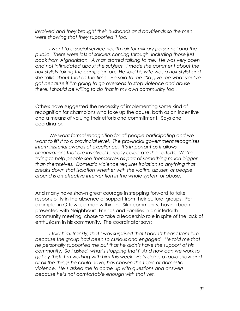*involved and they brought their husbands and boyfriends so the men were showing that they supported it too.*

*I went to a social service health fair for military personnel and the public. There were lots of soldiers coming through, including those just back from Afghanistan. A man started talking to me. He was very open and not intimidated about the subject. I made the comment about the hair stylists taking the campaign on. He said his wife was a hair stylist and she talks about that all the time. He said to me "So give me what you"ve got because if I"m going to go overseas to stop violence and abuse there, I should be willing to do that in my own community too".*

Others have suggested the necessity of implementing some kind of recognition for champions who take up the cause, both as an incentive and a means of valuing their efforts and commitment. Says one coordinator:

*We want formal recognition for all people participating and we want to lift it to a provincial level. The provincial government recognizes interministerial awards of excellence. It"s important as it allows organizations that are involved to really celebrate their efforts. We"re trying to help people see themselves as part of something much bigger than themselves. Domestic violence requires isolation so anything that breaks down that isolation whether with the victim, abuser, or people around is an effective intervention in the whole system of abuse.*

And many have shown great courage in stepping forward to take responsibility in the absence of support from their cultural groups. For example, in Ottawa, a man within the Sikh community, having been presented with Neighbours, Friends and Families in an interfaith community meeting, chose to take a leadership role in spite of the lack of enthusiasm in his community. The coordinator says:

*I told him, frankly, that I was surprised that I hadn"t heard from him because the group had been so curious and engaged. He told me that he personally supported me but that he didn"t have the support of his community. So I asked, what"s stopping that? And how can we work to get by this? I"m working with him this week. He"s doing a radio show and of all the things he could have, has chosen the topic of domestic violence. He"s asked me to come up with questions and answers because he"s not comfortable enough with that yet.*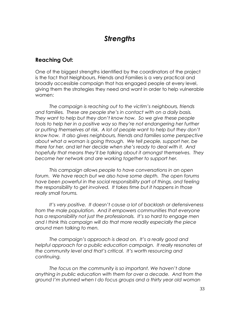## *Strengths*

#### **Reaching Out:**

One of the biggest strengths identified by the coordinators of the project is the fact that Neighbours, Friends and Families is a very practical and broadly accessible campaign that has engaged people at every level, giving them the strategies they need and want in order to help vulnerable women:

*The campaign is reaching out to the victim"s neighbours, friends and families. These are people she"s in contact with on a daily basis. They want to help but they don"t know how. So we give these people tools to help her in a positive way so they"re not endangering her further or putting themselves at risk. A lot of people want to help but they don"t know how. It also gives neighbours, friends and families some perspective about what a woman is going through. We tell people, support her, be there for her, and let her decide when she"s ready to deal with it. And hopefully that means they"ll be talking about it amongst themselves. They become her network and are working together to support her.*

*This campaign allows people to have conversations in an open forum. We have reach but we also have some depth. The open forums*  have been powerful in the social responsibility part of things, and feeling *the responsibility to get involved. It takes time but it happens in those really small forums.*

*It"s very positive. It doesn"t cause a lot of backlash or defensiveness from the male population. And it empowers communities that everyone has a responsibility not just the professionals. It"s so hard to engage men and I think this campaign will do that more readily especially the piece around men talking to men.*

*The campaign"s approach is dead on. It"s a really good and helpful approach for a public education campaign. It really resonates at the community level and that"s critical. It"s worth resourcing and continuing.*

*The focus on the community is so important. We haven"t done anything in public education with them for over a decade. And from the ground I"m stunned when I do focus groups and a thirty year old woman*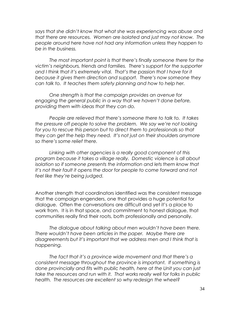*says that she didn"t know that what she was experiencing was abuse and that there are resources. Women are isolated and just may not know. The people around here have not had any information unless they happen to be in the business.* 

*The most important point is that there"s finally someone there for the victim"s neighbours, friends and families. There"s support for the supporter*  and I think that it's extremely vital. That's the passion that I have for it *because it gives them direction and support. There"s now someone they can talk to. It teaches them safety planning and how to help her.*

*One strength is that the campaign provides an avenue for engaging the general public in a way that we haven"t done before, providing them with ideas that they can do.*

*People are relieved that there"s someone there to talk to. It takes the pressure off people to solve the problem. We say we"re not looking for you to rescue this person but to direct them to professionals so that they can get the help they need. It"s not just on their shoulders anymore so there"s some relief there.* 

*Linking with other agencies is a really good component of this program because it takes a village really. Domestic violence is all about*  isolation so if someone presents the information and lets them know that *it"s not their fault it opens the door for people to come forward and not feel like they"re being judged.*

Another strength that coordinators identified was the consistent message that the campaign engenders, one that provides a huge potential for dialogue. Often the conversations are difficult and yet it's a place to work from. It is in that space, and commitment to honest dialogue, that communities really find their roots, both professionally and personally.

*The dialogue about talking about men wouldn"t have been there. There wouldn"t have been articles in the paper. Maybe there are disagreements but it"s important that we address men and I think that is happening.*

*The fact that it"s a province wide movement and that there"s a consistent message throughout the province is important. If something is done provincially and fits with public health, here at the Unit you can just take the resources and run with it. That works really well for folks in public health. The resources are excellent so why redesign the wheel?*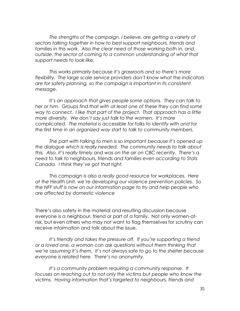*The strengths of the campaign, I believe, are getting a variety of sectors talking together in how to best support neighbours, friends and families in this work. Also the clear need of those working both in, and, outside, the sector of coming to a common understanding of what that support needs to look like.*

*This works primarily because it"s grassroots and so there"s more flexibility. The large scale service providers don"t know what the indicators are for safety planning, so the campaign is important in its consistent message.*

*It"s an approach that gives people some options. They can talk to her or him. Groups find that with at least one of these they can find some way to connect. I like that part of the project. That approach has a little more diversity. We don"t say just talk to the women. It"s more complicated. The material is accessible for folks to identify with and for the first time in an organized way start to talk to community members.*

*The part with talking to men is so important because it"s opened up the dialogue which is really needed. The community needs to talk about this. Also, it"s really timely and was on the air on CBC recently. There"s a need to talk to neighbours, friends and families even according to Stats Canada. I think they"ve got that right.*

*This campaign is also a really good resource for workplaces. Here at the Health Unit, we"re developing our violence prevention policies. So the NFF stuff is now on our information page to try and help people who are affected by domestic violence*

There's also safety in the material and resulting discussion because everyone is a neighbour, friend or part of a family. Not only women-atrisk, but even others who may not want to flag themselves for scrutiny can receive information and talk about the issue.

*It"s friendly and takes the pressure off. If you"re supporting a friend or a loved one, a woman can ask questions without them thinking that we"re assuming it"s them. It"s not always safe to go to the shelter because everyone is related here. There"s no anonymity.*

*It"s a community problem requiring a community response. It focuses on reaching out to not only the victims but people who know the victims. Having information that"s targeted to neighbours, friends and*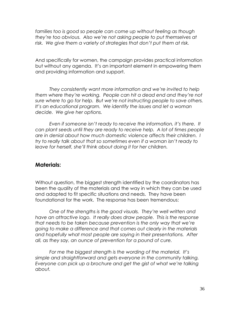*families too is good so people can come up without feeling as though they"re too obvious. Also we"re not asking people to put themselves at risk. We give them a variety of strategies that don"t put them at risk.*

And specifically for women, the campaign provides practical information but without any agenda. It's an important element in empowering them and providing information and support.

*They consistently want more information and we"re invited to help them where they"re working. People can hit a dead end and they"re not sure where to go for help. But we"re not instructing people to save others. It"s an educational program. We identify the issues and let a woman decide. We give her options.*

*Even if someone isn"t ready to receive the information, it"s there. It can plant seeds until they are ready to receive help. A lot of times people are in denial about how much domestic violence affects their children. I try to really talk about that so sometimes even if a woman isn"t ready to leave for herself, she"ll think about doing it for her children.*

#### **Materials:**

Without question, the biggest strength identified by the coordinators has been the quality of the materials and the way in which they can be used and adapted to fit specific situations and needs. They have been foundational for the work. The response has been tremendous:

*One of the strengths is the good visuals. They"re well written and have an attractive logo. It really does draw people. This is the response that needs to be taken because prevention is the only way that we"re going to make a difference and that comes out clearly in the materials and hopefully what most people are saying in their presentations. After all, as they say, an ounce of prevention for a pound of cure.* 

*For me the biggest strength is the wording of the material. It"s simple and straightforward and gets everyone in the community talking. Everyone can pick up a brochure and get the gist of what we"re talking about.*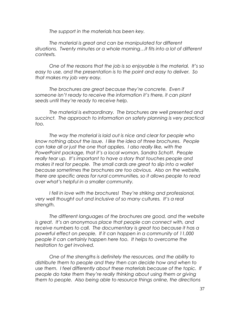*The support in the materials has been key.*

*The material is great and can be manipulated for different situations. Twenty minutes or a whole morning…it fits into a lot of different contexts.* 

*One of the reasons that the job is so enjoyable is the material. It"s so easy to use, and the presentation is to the point and easy to deliver. So that makes my job very easy.*

*The brochures are great because they"re concrete. Even if someone isn"t ready to receive the information it"s there, it can plant seeds until they"re ready to receive help.*

*The material is extraordinary. The brochures are well presented and*  succinct. The approach to information on safety planning is very practical *too.*

*The way the material is laid out is nice and clear for people who know nothing about the issue. I like the idea of three brochures. People can take all or just the one that applies. I also really like, with the PowerPoint package, that it"s a local woman, Sandra Schott. People really tear up. It"s important to have a story that touches people and makes it real for people. The small cards are great to slip into a wallet because sometimes the brochures are too obvious. Also on the website, there are specific areas for rural communities, so it allows people to read over what"s helpful in a smaller community.*

*I fell in love with the brochures! They"re striking and professional, very well thought out and inclusive of so many cultures. It"s a real strength.*

*The different languages of the brochures are good, and the website is great. It"s an anonymous place that people can connect with, and receive numbers to call. The documentary is great too because it has a powerful effect on people. If it can happen in a community of 11,000 people it can certainly happen here too. It helps to overcome the hesitation to get involved.*

*One of the strengths is definitely the resources, and the ability to distribute them to people and they then can decide how and when to use them. I feel differently about these materials because of the topic. If people do take them they"re really thinking about using them or giving them to people. Also being able to resource things online, the directions*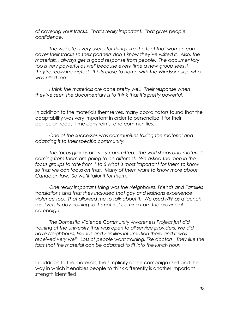*of covering your tracks. That"s really important. That gives people confidence.* 

*The website is very useful for things like the fact that women can cover their tracks so their partners don"t know they"ve visited it. Also, the materials, I always get a good response from people. The documentary too is very powerful as well because every time a new group sees it they"re really impacted. It hits close to home with the Windsor nurse who was killed too.* 

I think the materials are done pretty well. Their response when *they"ve seen the documentary is to think that it"s pretty powerful.*

In addition to the materials themselves, many coordinators found that the adaptability was very important in order to personalize it for their particular needs, time constraints, and communities.

*One of the successes was communities taking the material and adapting it to their specific community.* 

*The focus groups are very committed. The workshops and materials coming from them are going to be different. We asked the men in the focus groups to rate from 1 to 5 what is most important for them to know so that we can focus on that. Many of them want to know more about Canadian law. So we"ll tailor it for them.*

*One really important thing was the Neighbours, Friends and Families translations and that they included that gay and lesbians experience violence too. That allowed me to talk about it. We used NFF as a launch for diversity day training so it"s not just coming from the provincial campaign.*

*The Domestic Violence Community Awareness Project just did training at the university that was open to all service providers. We did have Neighbours, Friends and Families information there and it was*  received very well. Lots of people want training, like doctors. They like the *fact that the material can be adapted to fit into the lunch hour.*

In addition to the materials, the simplicity of the campaign itself and the way in which it enables people to think differently is another important strength identified.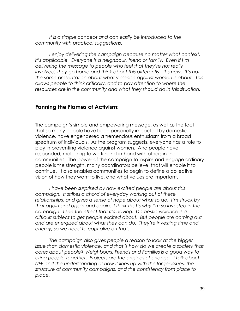*It is a simple concept and can easily be introduced to the community with practical suggestions.*

*I enjoy delivering the campaign because no matter what context, it"s applicable. Everyone is a neighbour, friend or family. Even if I"m delivering the message to people who feel that they"re not really involved, they go home and think about this differently. It"s new. It"s not the same presentation about what violence against women is about. This allows people to think critically, and to pay attention to where the resources are in the community and what they should do in this situation.*

#### **Fanning the Flames of Activism:**

The campaign's simple and empowering message, as well as the fact that so many people have been personally impacted by domestic violence, have engendered a tremendous enthusiasm from a broad spectrum of individuals. As the program suggests, everyone has a role to play in preventing violence against women. And people have responded, mobilizing to work hand-in-hand with others in their communities. The power of the campaign to inspire and engage ordinary people is the strength, many coordinators believe, that will enable it to continue. It also enables communities to begin to define a collective vision of how they want to live, and what values are important.

*I have been surprised by how excited people are about this campaign. It strikes a chord of everyday working out of these relationships, and gives a sense of hope about what to do. I"m struck by that again and again and again. I think that"s why I"m so invested in the campaign. I see the effect that it"s having. Domestic violence is a difficult subject to get people excited about. But people are coming out and are energized about what they can do. They"re investing time and energy, so we need to capitalize on that.*

*The campaign also gives people a reason to look at the bigger issue than domestic violence, and that is how do we create a society that cares about people? Neighbours, Friends and Families is a good way to bring people together. Projects are the engines of change. I talk about NFF and the understanding of how it lines up with the larger issues, the structure of community campaigns, and the consistency from place to place.*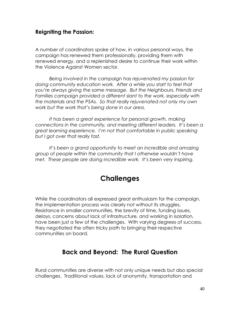#### **Reigniting the Passion:**

A number of coordinators spoke of how, in various personal ways, the campaign has renewed them professionally, providing them with renewed energy, and a replenished desire to continue their work within the Violence Against Women sector.

*Being involved in the campaign has rejuvenated my passion for doing community education work. After a while you start to feel that you"re always giving the same message. But the Neighbours, Friends and*  Families campaign provided a different slant to the work, especially with *the materials and the PSAs. So that really rejuvenated not only my own work but the work that"s being done in our area.*

*It has been a great experience for personal growth, making connections in the community, and meeting different leaders. It"s been a great learning experience. I"m not that comfortable in public speaking but I got over that really fast.*

*It"s been a grand opportunity to meet an incredible and amazing group of people within the community that I otherwise wouldn"t have met. These people are doing incredible work. It"s been very inspiring.*

## **Challenges**

While the coordinators all expressed great enthusiasm for the campaign, the implementation process was clearly not without its struggles. Resistance in smaller communities, the brevity of time, funding issues, delays, concerns about lack of infrastructure, and working in isolation, have been just a few of the challenges. With varying degrees of success, they negotiated the often tricky path to bringing their respective communities on board.

### **Back and Beyond: The Rural Question**

Rural communities are diverse with not only unique needs but also special challenges. Traditional values, lack of anonymity, transportation and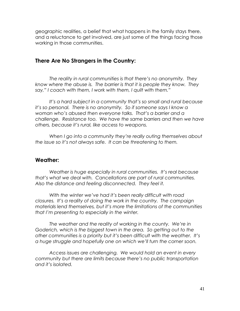geographic realities, a belief that what happens in the family stays there, and a reluctance to get involved, are just some of the things facing those working in those communities.

#### **There Are No Strangers in the Country:**

*The reality in rural communities is that there"s no anonymity. They know where the abuse is. The barrier is that it is people they know. They say," I coach with them, I work with them, I quilt with them."*

*It"s a hard subject in a community that"s so small and rural because it"s so personal. There is no anonymity. So if someone says I know a woman who"s abused then everyone talks. That"s a barrier and a challenge. Resistance too. We have the same barriers and then we have others, because it"s rural, like access to weapons.*

*When I go into a community they"re really outing themselves about the issue so it"s not always safe. It can be threatening to them.* 

#### **Weather:**

*Weather is huge especially in rural communities. It"s real because that"s what we deal with. Cancellations are part of rural communities. Also the distance and feeling disconnected. They feel it.*

*With the winter we"ve had it"s been really difficult with road closures. It"s a reality of doing the work in the country. The campaign materials lend themselves, but it"s more the limitations of the communities that I"m presenting to especially in the winter.*

*The weather and the reality of working in the county. We"re in Goderich, which is the biggest town in the area. So getting out to the other communities is a priority but it"s been difficult with the weather. It"s a huge struggle and hopefully one on which we"ll turn the corner soon.* 

*Access issues are challenging. We would hold an event in every community but there are limits because there"s no public transportation and it"s isolated.*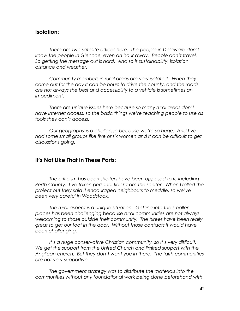#### **Isolation:**

*There are two satellite offices here. The people in Delaware don"t know the people in Glencoe, even an hour away. People don"t travel. So getting the message out is hard. And so is sustainability, isolation, distance and weather.* 

*Community members in rural areas are very isolated. When they come out for the day it can be hours to drive the county, and the roads are not always the best and accessibility to a vehicle is sometimes an impediment.* 

*There are unique issues here because so many rural areas don"t have Internet access, so the basic things we"re teaching people to use as tools they can"t access.*

*Our geography is a challenge because we"re so huge. And I"ve had some small groups like five or six women and it can be difficult to get discussions going.*

#### **It's Not Like That In These Parts:**

*The criticism has been shelters have been opposed to it, including Perth County. I"ve taken personal flack from the shelter. When I rolled the project out they said it encouraged neighbours to meddle, so we"ve been very careful in Woodstock.*

*The rural aspect is a unique situation. Getting into the smaller places has been challenging because rural communities are not always welcoming to those outside their community. The hirees have been really great to get our foot in the door. Without those contacts it would have been challenging.*

*It"s a huge conservative Christian community, so it"s very difficult. We get the support from the United Church and limited support with the Anglican church. But they don"t want you in there. The faith communities are not very supportive.*

*The government strategy was to distribute the materials into the communities without any foundational work being done beforehand with*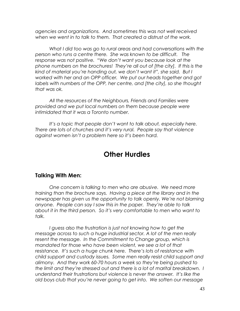*agencies and organizations. And sometimes this was not well received when we went in to talk to them. That created a distrust of the work.*

*What I did too was go to rural areas and had conversations with the person who runs a centre there. She was known to be difficult. The response was not positive. "We don"t want you because look at the phone numbers on the brochures! They"re all out of [the city]. If this is the kind of material you"re handing out, we don"t want it", she said. But I worked with her and an OPP officer. We put our heads together and got labels with numbers of the OPP, her centre, and [the city], so she thought that was ok.*

*All the resources of the Neighbours, Friends and Families were provided and we put local numbers on them because people were intimidated that it was a Toronto number.*

It's a topic that people don't want to talk about, especially here. *There are lots of churches and it"s very rural. People say that violence against women isn"t a problem here so it"s been hard.*

## **Other Hurdles**

#### **Talking With Men:**

*One concern is talking to men who are abusive. We need more training than the brochure says. Having a piece at the library and in the newspaper has given us the opportunity to talk openly. We"re not blaming anyone. People can say I saw this in the paper. They"re able to talk about it in the third person. So it"s very comfortable to men who want to talk.*

*I guess also the frustration is just not knowing how to get the message across to such a huge industrial sector. A lot of the men really*  resent the message. In the Commitment to Change group, which is *mandated for those who have been violent, we see a lot of that resistance. It"s such a huge chunk here. There"s lots of resistance with child support and custody issues. Some men really resist child support and alimony. And they work 60-70 hours a week so they"re being pushed to the limit and they"re stressed out and there is a lot of marital breakdown. I understand their frustrations but violence is never the answer. It"s like the old boys club that you"re never going to get into. We soften our message*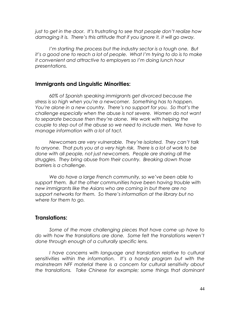*just to get in the door. It"s frustrating to see that people don"t realize how damaging it is. There"s this attitude that if you ignore it, it will go away.*

*I"m starting the process but the industry sector is a tough one. But it"s a good one to reach a lot of people. What I"m trying to do is to make it convenient and attractive to employers so I"m doing lunch hour presentations.* 

#### **Immigrants and Linguistic Minorities:**

*60% of Spanish speaking immigrants get divorced because the stress is so high when you"re a newcomer. Something has to happen. You"re alone in a new country. There"s no support for you. So that"s the challenge especially when the abuse is not severe. Women do not want to separate because then they"re alone. We work with helping the couple to step out of the abuse so we need to include men. We have to manage information with a lot of tact.*

*Newcomers are very vulnerable. They"re isolated. They can"t talk to anyone. That puts you at a very high risk. There is a lot of work to be done with all people, not just newcomers. People are sharing all the struggles. They bring abuse from their country. Breaking down those barriers is a challenge.*

*We do have a large French community, so we"ve been able to support them. But the other communities have been having trouble with new immigrants like the Asians who are coming in but there are no support networks for them. So there"s information at the library but no where for them to go.*

#### **Translations:**

*Some of the more challenging pieces that have come up have to do with how the translations are done. Some felt the translations weren"t done through enough of a culturally specific lens.* 

*I have concerns with language and translation relative to cultural sensitivities within the information. It"s a handy program but with the mainstream NFF material there is a concern for cultural sensitivity about the translations. Take Chinese for example; some things that dominant*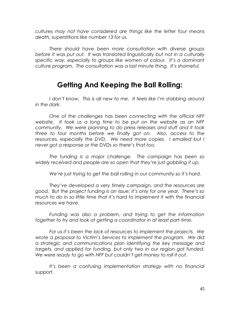*cultures may not have considered are things like the letter four means death, superstitions like number 13 for us.*

*There should have been more consultation with diverse groups before it was put out. It was translated linguistically but not in a culturally specific way, especially to groups like women of colour. It"s a dominant culture program. The consultation was a last minute thing. It"s shameful.*

## **Getting And Keeping the Ball Rolling:**

I don't know. This is all new to me. It feels like I'm stabbing around *in the dark.*

*One of the challenges has been connecting with the official NFF website. It took us a long time to be put on the website as an NFF community. We were planning to do press releases and stuff and it took three to four months before we finally got on. Also, access to the resources, especially the DVD. We need more copies. I emailed but I never got a response or the DVDs so there"s that too.*

*The funding is a major challenge. The campaign has been so widely received and people are so open that they"re just gobbling it up.*

*We"re just trying to get the ball rolling in our community so it"s hard.*

*They"ve developed a very timely campaign, and the resources are good. But the project funding is an issue; it"s only for one year. There"s so much to do in so little time that it"s hard to implement it with the financial resources we have.*

*Funding was also a problem, and trying to get the information together to try and look at getting a coordinator in at least part-time.*

*For us it"s been the lack of resources to implement the projects. We wrote a proposal to Victim"s Services to implement the program. We did a strategic and communications plan identifying the key message and targets, and applied for funding, but only two in our region got funded. We were ready to go with NFF but couldn"t get money to roll it out.*

*It"s been a confusing implementation strategy with no financial support.*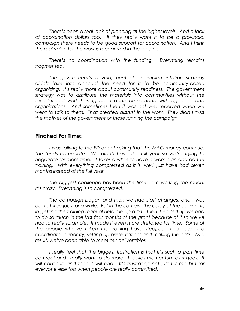*There"s been a real lack of planning at the higher levels. And a lack of coordination dollars too. If they really want it to be a provincial campaign there needs to be good support for coordination. And I think the real value for the work is recognized in the funding.*

*There"s no coordination with the funding. Everything remains fragmented.*

*The government"s development of an implementation strategy didn"t take into account the need for it to be community-based organizing. It"s really more about community readiness. The government strategy was to distribute the materials into communities without the foundational work having been done beforehand with agencies and organizations. And sometimes then it was not well received when we went to talk to them. That created distrust in the work. They didn"t trust the motives of the government or those running the campaign.*

#### **Pinched For Time:**

*I was talking to the ED about asking that the MAG money continue. The funds came late. We didn"t have the full year so we"re trying to negotiate for more time. It takes a while to have a work plan and do the training. With everything compressed as it is, we"ll just have had seven months instead of the full year.*

*The biggest challenge has been the time. I"m working too much. It"s crazy. Everything is so compressed.* 

*The campaign began and then we had staff changes, and I was doing three jobs for a while. But in the context, the delay at the beginning in getting the training manual held me up a bit. Then it ended up we had to do so much in the last four months of the grant because of it so we"ve had to really scramble. It made it even more stretched for time. Some of the people who"ve taken the training have stepped in to help in a coordinator capacity, setting up presentations and making the calls. As a result, we"ve been able to meet our deliverables.*

*I really feel that the biggest frustration is that it's such a part time contract and I really want to do more. It builds momentum as it goes. It will continue and then it will end. It"s frustrating not just for me but for everyone else too when people are really committed.*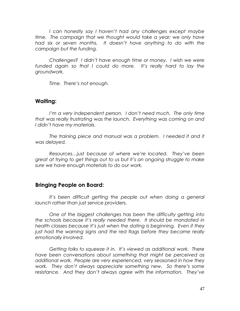*I can honestly say I haven"t had any challenges except maybe time. The campaign that we thought would take a year; we only have had six or seven months. It doesn"t have anything to do with the campaign but the funding.*

*Challenges? I didn"t have enough time or money. I wish we were*  funded again so that I could do more. It's really hard to lay the *groundwork.*

*Time. There"s not enough.* 

#### **Waiting:**

*I'm a very independent person. I don't need much. The only time that was really frustrating was the launch. Everything was coming on and I didn"t have my materials.* 

The training piece and manual was a problem. I needed it and it *was delayed.*

*Resources…just because of where we"re located. They"ve been great at trying to get things out to us but it"s an ongoing struggle to make sure we have enough materials to do our work.* 

#### **Bringing People on Board:**

*It"s been difficult getting the people out when doing a general launch rather than just service providers.*

*One of the biggest challenges has been the difficulty getting into the schools because it"s really needed there. It should be mandated in health classes because it"s just when the dating is beginning. Even if they just had the warning signs and the red flags before they became really emotionally involved.*

*Getting folks to squeeze it in. It"s viewed as additional work. There have been conversations about something that might be perceived as additional work. People are very experienced, very seasoned in how they work. They don"t always appreciate something new. So there"s some resistance. And they don"t always agree with the information. They"ve*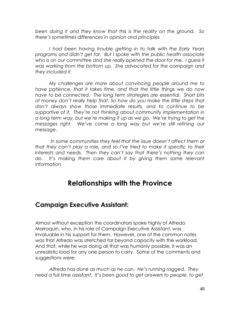*been doing it and they know that this is the reality on the ground. So there"s sometimes differences in opinion and principles*

*I had been having trouble getting in to talk with the Early Years programs and didn"t get far. But I spoke with the public health associate who is on our committee and she really opened the door for me. I guess it was working from the bottom up. She advocated for the campaign and they included it.*

*My challenges are more about convincing people around me to have patience, that it takes time, and that the little things we do now have to be connected. The long term strategies are essential. Short bits of money don"t really help that. So how do you make the little steps that don"t always show those immediate results, and to continue to be supportive of it. They"re not thinking about community implementation in a long term way, but we"re making it up as we go. We"re trying to get the messages right. We"ve come a long way but we"re still refining our message.* 

*In some communities they feel that the issue doesn"t affect them or that they can"t play a role, and so I"ve tried to make it specific to their interests and needs. Then they can"t say that there"s nothing they can*  do. It's making them care about it by giving them some relevant *information.* 

## **Relationships with the Province**

#### **Campaign Executive Assistant:**

Almost without exception the coordinators spoke highly of Alfredo Marroquin, who, in his role of Campaign Executive Assistant, was invaluable in his support for them. However, one of the common notes was that Alfredo was stretched far beyond capacity with the workload. And that, while he was doing all that was humanly possible, it was an unrealistic load for any one person to carry. Some of the comments and suggestions were:

*Alfredo has done as much as he can. He"s running ragged. They need a full time assistant. It"s been good to get answers to people, to get*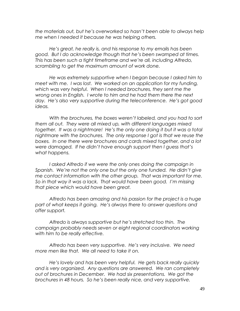*the materials out, but he"s overworked so hasn"t been able to always help me when I needed it because he was helping others.*

*He"s great, he really is, and his response to my emails has been good. But I do acknowledge though that he"s been swamped at times. This has been such a tight timeframe and we"re all, including Alfredo, scrambling to get the maximum amount of work done.* 

*He was extremely supportive when I began because I asked him to meet with me. I was lost. We worked on an application for my funding, which was very helpful. When I needed brochures, they sent me the wrong ones in English. I wrote to him and he had them there the next day. He"s also very supportive during the teleconference. He"s got good ideas.*

*With the brochures, the boxes weren"t labeled, and you had to sort them all out. They were all mixed up, with different languages mixed together. It was a nightmare! He"s the only one doing it but it was a total nightmare with the brochures. The only response I got is that we reuse the boxes. In one there were brochures and cards mixed together, and a lot were damaged. If he didn"t have enough support then I guess that"s what happens.*

I asked Alfredo if we were the only ones doing the campaign in *Spanish. We"re not the only one but the only one funded. He didn"t give me contact information with the other group. That was important for me. So in that way it was a lack. That would have been good. I"m missing that piece which would have been great.*

*Alfredo has been amazing and his passion for the project is a huge part of what keeps it going. He"s always there to answer questions and offer support.*

*Alfredo is always supportive but he"s stretched too thin. The campaign probably needs seven or eight regional coordinators working with him to be really effective.* 

*Alfredo has been very supportive. He"s very inclusive. We need more men like that. We all need to take it on.*

*He"s lovely and has been very helpful. He gets back really quickly and is very organized. Any questions are answered. We ran completely out of brochures in December. We had six presentations. We got the brochures in 48 hours. So he"s been really nice, and very supportive.*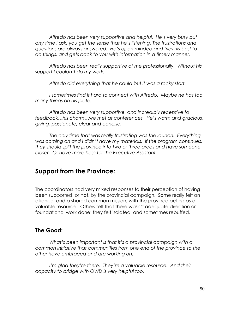*Alfredo has been very supportive and helpful. He"s very busy but any time I ask, you get the sense that he"s listening. The frustrations and questions are always answered. He"s open minded and tries his best to do things, and gets back to you with information in a timely manner.*

*Alfredo has been really supportive of me professionally. Without his support I couldn"t do my work.*

*Alfredo did everything that he could but it was a rocky start.*

*I sometimes find it hard to connect with Alfredo. Maybe he has too many things on his plate.* 

*Alfredo has been very supportive, and incredibly receptive to feedback…his charm…we met at conferences. He"s warm and gracious, giving, passionate, clear and concise.*

*The only time that was really frustrating was the launch. Everything was coming on and I didn"t have my materials. If the program continues, they should split the province into two or three areas and have someone closer. Or have more help for the Executive Assistant.*

#### **Support from the Province:**

The coordinators had very mixed responses to their perception of having been supported, or not, by the provincial campaign. Some really felt an alliance, and a shared common mission, with the province acting as a valuable resource. Others felt that there wasn't adequate direction or foundational work done; they felt isolated, and sometimes rebuffed.

#### **The Good:**

*What"s been important is that it"s a provincial campaign with a common initiative that communities from one end of the province to the other have embraced and are working on.*

*I'm glad they're there. They're a valuable resource. And their capacity to bridge with OWD is very helpful too.*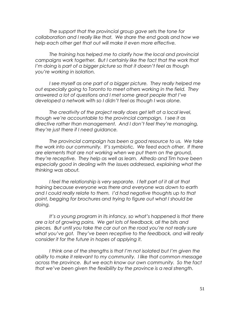*The support that the provincial group gave sets the tone for collaboration and I really like that. We share the end goals and how we help each other get that out will make it even more effective.*

*The training has helped me to clarify how the local and provincial campaigns work together. But I certainly like the fact that the work that I"m doing is part of a bigger picture so that it doesn"t feel as though you"re working in isolation.*

*I* see myself as one part of a bigger picture. They really helped me *out especially going to Toronto to meet others working in the field. They answered a lot of questions and I met some great people that I"ve developed a network with so I didn"t feel as though I was alone.*

*The creativity of the project really does get left at a local level, though we"re accountable to the provincial campaign. I see it as directive rather than management. And I don"t feel they"re managing, they"re just there if I need guidance.*

*The provincial campaign has been a good resource to us. We take the work into our community. It"s symbiotic. We feed each other. If there are elements that are not working when we put them on the ground, they"re receptive. They help as well as learn. Alfredo and Tim have been especially good in dealing with the issues addressed, explaining what the thinking was about.*

I feel the relationship is very separate. I felt part of it all at that *training because everyone was there and everyone was down to earth and I could really relate to them. I"d had negative thoughts up to that point, begging for brochures and trying to figure out what I should be doing.*

*It"s a young program in its infancy, so what"s happened is that there are a lot of growing pains. We get lots of feedback, all the bits and pieces. But until you take the car out on the road you"re not really sure what you"ve got. They"ve been receptive to the feedback, and will really consider it for the future in hopes of applying it.*

*I think one of the strengths is that I"m not isolated but I"m given the ability to make it relevant to my community. I like that common message across the province. But we each know our own community. So the fact that we"ve been given the flexibility by the province is a real strength.*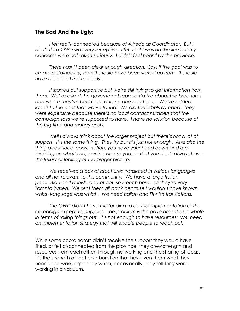#### **The Bad And the Ugly:**

*I felt really connected because of Alfredo as Coordinator. But I don"t think OWD was very receptive. I felt that I was on the line but my concerns were not taken seriously. I didn"t feel heard by the province.*

*There hasn"t been clear enough direction. Say, if the goal was to create sustainability, then it should have been stated up front. It should have been said more clearly.*

*It started out supportive but we"re still trying to get information from them. We"ve asked the government representative about the brochures and where they"ve been sent and no one can tell us. We"ve added labels to the ones that we"ve found. We did the labels by hand. They were expensive because there"s no local contact numbers that the campaign says we"re supposed to have. I have no solution because of the big time and money costs.*

*Well I always think about the larger project but there"s not a lot of support. It"s the same thing. They try but it"s just not enough. And also the thing about local coordination, you have your head down and are focusing on what"s happening before you, so that you don"t always have the luxury of looking at the bigger picture.*

*We received a box of brochures translated in various languages and all not relevant to this community. We have a large Italian population and Finnish, and of course French here. So they"re very Toronto based. We sent them all back because I wouldn"t have known which language was which. We need Italian and Finnish translations.*

*The OWD didn"t have the funding to do the implementation of the campaign except for supplies. The problem is the government as a whole in terms of rolling things out. It"s not enough to have resources: you need an implementation strategy that will enable people to reach out.* 

While some coordinators didn't receive the support they would have liked, or felt disconnected from the province, they drew strength and resources from each other, through networking and the sharing of ideas. It's the strength of that collaboration that has given them what they needed to work, especially when, occasionally, they felt they were working in a vacuum.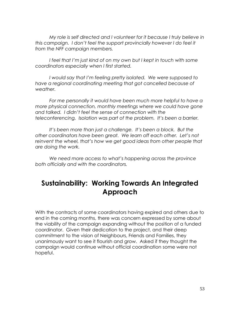*My role is self directed and I volunteer for it because I truly believe in this campaign. I don"t feel the support provincially however I do feel it from the NFF campaign members.*

*I feel that I"m just kind of on my own but I kept in touch with some coordinators especially when I first started.*

*I would say that I"m feeling pretty isolated. We were supposed to have a regional coordinating meeting that got cancelled because of weather.*

*For me personally it would have been much more helpful to have a more physical connection, monthly meetings where we could have gone and talked. I didn"t feel the sense of connection with the teleconferencing. Isolation was part of the problem. It"s been a barrier.*

*It"s been more than just a challenge. It"s been a block. But the other coordinators have been great. We learn off each other. Let"s not*  reinvent the wheel, that's how we get good ideas from other people that *are doing the work.*

*We need more access to what"s happening across the province both officially and with the coordinators.*

## **Sustainability: Working Towards An Integrated Approach**

With the contracts of some coordinators having expired and others due to end in the coming months, there was concern expressed by some about the viability of the campaign expanding without the position of a funded coordinator. Given their dedication to the project, and their deep commitment to the vision of Neighbours, Friends and Families, they unanimously want to see it flourish and grow. Asked if they thought the campaign would continue without official coordination some were not hopeful.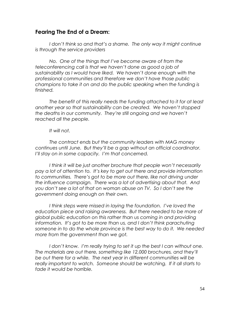#### **Fearing The End of a Dream:**

*I don"t think so and that"s a shame. The only way it might continue is through the service providers*

*No. One of the things that I"ve become aware of from the teleconferencing call is that we haven"t done as good a job of sustainability as I would have liked. We haven"t done enough with the professional communities and therefore we don"t have those public champions to take it on and do the public speaking when the funding is finished.*

*The benefit of this really needs the funding attached to it for at least another year so that sustainability can be created. We haven"t stopped the deaths in our community. They"re still ongoing and we haven"t reached all the people.*

#### *It will not.*

*The contract ends but the community leaders with MAG money continues until June. But they"ll be a gap without an official coordinator. I"ll stay on in some capacity. I"m that concerned.*

*I think it will be just another brochure that people won"t necessarily pay a lot of attention to. It"s key to get out there and provide information to communities. There"s got to be more out there, like not driving under the influence campaign. There was a lot of advertising about that. And you don"t see a lot of that on woman abuse on TV. So I don"t see the government doing enough on their own.*

*I think steps were missed in laying the foundation. I"ve loved the education piece and raising awareness. But there needed to be more of global public education on this rather than us coming in and providing information. It"s got to be more than us, and I don"t think parachuting someone in to do the whole province is the best way to do it. We needed more from the government than we got.*

I don't know. I'm really trying to set it up the best I can without one. *The materials are out there, something like 12,000 brochures, and they"ll be out there for a while. The next year in different communities will be really important to watch. Someone should be watching. If it all starts to fade it would be horrible.*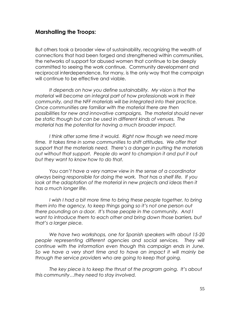#### **Marshalling the Troops:**

But others took a broader view of sustainability, recognizing the wealth of connections that had been forged and strengthened within communities, the networks of support for abused women that continue to be deeply committed to seeing the work continue. Community development and reciprocal interdependence, for many, is the only way that the campaign will continue to be effective and viable.

*It depends on how you define sustainability. My vision is that the material will become an integral part of how professionals work in their community, and the NFF materials will be integrated into their practice. Once communities are familiar with the material there are then possibilities for new and innovative campaigns. The material should never be static though but can be used in different kinds of venues. The material has the potential for having a much broader impact.* 

I think after some time it would. Right now though we need more *time. It takes time in some communities to shift attitudes. We offer that support that the materials need. There"s a danger in putting the materials out without that support. People do want to champion it and put it out but they want to know how to do that.*

*You can"t have a very narrow view in the sense of a coordinator always being responsible for doing the work. That has a shelf life. If you*  look at the adaptation of the material in new projects and ideas then it *has a much longer life.*

*I* wish *I* had a bit more time to bring these people together, to bring *them into the agency, to keep things going so it"s not one person out there pounding on a door. It"s those people in the community. And I want to introduce them to each other and bring down those barriers, but that"s a larger piece.*

*We have two workshops, one for Spanish speakers with about 15-20 people representing different agencies and social services. They will continue with the information even though this campaign ends in June. So we have a very short time and to have an impact it will mainly be through the service providers who are going to keep that going.*

*The key piece is to keep the thrust of the program going. It"s about this community…they need to stay involved.*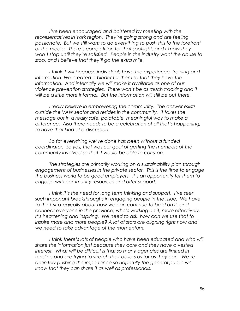*I"ve been encouraged and bolstered by meeting with the representatives in York region. They"re going strong and are feeling passionate. But we still want to do everything to push this to the forefront of the media. There"s competition for that spotlight, and I know they won"t stop until they"re satisfied. People in the industry want the abuse to stop, and I believe that they"ll go the extra mile.*

*I think it will because individuals have the experience, training and information. We created a binder for them so that they have the information. And internally we will make it available as one of our violence prevention strategies. There won"t be as much tracking and it will be a little more informal. But the information will still be out there.*

*I really believe in empowering the community. The answer exists outside the VAW sector and resides in the community. It takes the message out in a really safe, palatable, meaningful way to make a difference. Also there needs to be a celebration of all that"s happening, to have that kind of a discussion.*

*So far everything we"ve done has been without a funded coordinator. So yes, that was our goal of getting the members of the community involved so that it would be able to carry on.*

*The strategies are primarily working on a sustainability plan through engagement of businesses in the private sector. This is the time to engage the business world to be good employers. It"s an opportunity for them to engage with community resources and offer support.*

*I think it"s the need for long term thinking and support. I"ve seen such important breakthroughs in engaging people in the issue. We have to think strategically about how we can continue to build on it, and connect everyone in the province, who"s working on it, more effectively. It"s heartening and inspiring. We need to ask, how can we use that to inspire more and more people? A lot of stars are aligning right now and we need to take advantage of the momentum.*

*I think there"s lots of people who have been educated and who will share the information just because they care and they have a vested interest, What will be difficult is that so many agencies are limited in funding and are trying to stretch their dollars as far as they can. We"re definitely pushing the importance so hopefully the general public will know that they can share it as well as professionals.*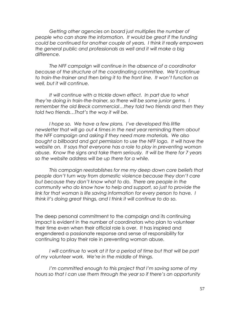*Getting other agencies on board just multiplies the number of people who can share the information. It would be great if the funding could be continued for another couple of years. I think it really empowers the general public and professionals as well and it will make a big difference.*

*The NFF campaign will continue in the absence of a coordinator because of the structure of the coordinating committee. We"ll continue to train-the-trainer and then bring it to the front line. It won"t function as well, but it will continue.*

*It will continue with a trickle down effect. In part due to what they"re doing in train-the-trainer, so there will be some junior gems. I remember the old Breck commercial…they told two friends and then they told two friends…That"s the way it will be.*

*I hope so. We have a few plans. I"ve developed this little newsletter that will go out 4 times in the next year reminding them about the NFF campaign and asking if they need more materials. We also bought a billboard and got permission to use the NFF logo. It will have the website on. It says that everyone has a role to play in preventing woman abuse. Know the signs and take them seriously. It will be there for 7 years so the website address will be up there for a while.*

*This campaign reestablishes for me my deep down core beliefs that people don"t turn way from domestic violence because they don"t care but because they don"t know what to do. There are people in the community who do know how to help and support, so just to provide the*  link for that woman is life saving information for every person to have. I *think it"s doing great things, and I think it will continue to do so.*

The deep personal commitment to the campaign and its continuing impact is evident in the number of coordinators who plan to volunteer their time even when their official role is over. It has inspired and engendered a passionate response and sense of responsibility for continuing to play their role in preventing woman abuse.

*I* will continue to work at it for a period of time but that will be part *of my volunteer work. We"re in the middle of things.*

*I"m committed enough to this project that I"m saving some of my hours so that I can use them through the year so if there"s an opportunity*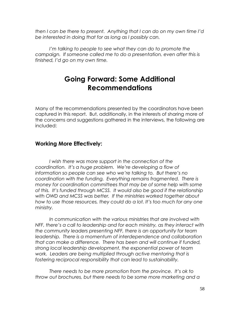*then I can be there to present. Anything that I can do on my own time I"d be interested in doing that for as long as I possibly can.*

*I'm talking to people to see what they can do to promote the campaign. If someone called me to do a presentation, even after this is finished, I"d go on my own time.*

## **Going Forward: Some Additional Recommendations**

Many of the recommendations presented by the coordinators have been captured in this report. But, additionally, in the interests of sharing more of the concerns and suggestions gathered in the interviews, the following are included:

#### **Working More Effectively:**

*I wish there was more support in the connection of the coordination. It"s a huge problem. We"re developing a flow of information so people can see who we"re talking to. But there"s no coordination with the funding. Everything remains fragmented. There is money for coordination committees that may be of some help with some of this. It"s funded through MCSS. It would also be good if the relationship with OWD and MCSS was better. If the ministries worked together about how to use those resources, they could do a lot. It"s too much for any one ministry.*

*In communication with the various ministries that are involved with NFF, there"s a call to leadership and for each ministry, as they interact with the community leaders presenting NFF, there is an opportunity for team leadership. There is a momentum of interdependence and collaboration that can make a difference. There has been and will continue if funded, strong local leadership development, the exponential power of team work. Leaders are being multiplied through active mentoring that is fostering reciprocal responsibility that can lead to sustainability.*

*There needs to be more promotion from the province. It"s ok to throw out brochures, but there needs to be some more marketing and a*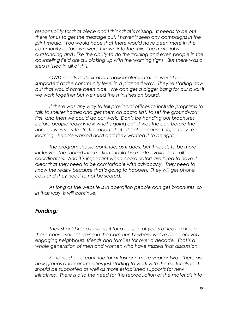*responsibility for that piece and I think that"s missing. It needs to be out there for us to get the message out. I haven"t seen any campaigns in the print media. You would hope that there would have been more in the community before we were thrown into the mix. The material is outstanding and I like the ability to do the training and even people in the counseling field are still picking up with the warning signs. But there was a step missed in all of this.*

*OWD needs to think about how implementation would be supported at the community level in a planned way. They"re starting now*  but that would have been nice. We can get a bigger bang for our buck if *we work together but we need the ministries on board.*

*If there was any way to tell provincial offices to include programs to talk to shelter homes and get them on board first, to set the groundwork first, and then we could do our work. Don"t be handing out brochures before people really know what"s going on! It was the cart before the horse. I was very frustrated about that. It"s ok because I hope they"re learning. People worked hard and they wanted it to be right.*

*The program should continue, as it does, but it needs to be more inclusive. The shared information should be made available to all coordinators. And it"s important when coordinators are hired to have it clear that they need to be comfortable with advocacy. They need to know the reality because that"s going to happen. They will get phone calls and they need to not be scared.*

*As long as the website is in operation people can get brochures, so in that way, it will continue.*

#### *Funding:*

*They should keep funding it for a couple of years at least to keep these conversations going in the community where we"ve been actively engaging neighbours, friends and families for over a decade. That"s a whole generation of men and women who have missed that discussion.*

*Funding should continue for at last one more year or two. There are new groups and communities just starting to work with the materials that should be supported as well as more established supports for new initiatives. There is also the need for the reproduction of the materials into*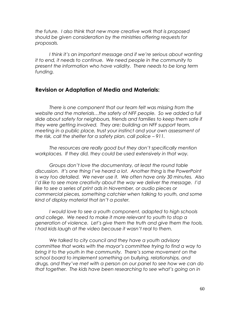*the future. I also think that new more creative work that is proposed should be given consideration by the ministries offering requests for proposals.*

*I think it"s an important message and if we"re serious about wanting it to end, it needs to continue. We need people in the community to present the information who have validity. There needs to be long term funding.*

#### **Revision or Adaptation of Media and Materials:**

*There is one component that our team felt was missing from the website and the materials…the safety of NFF people. So we added a full slide about safety for neighbours, friends and families to keep them safe if they were getting involved. They are: building an NFF support team, meeting in a public place, trust your instinct and your own assessment of the risk, call the shelter for a safety plan, call police – 911.*

*The resources are really good but they don"t specifically mention workplaces. If they did, they could be used extensively in that way.*

*Groups don"t love the documentary, at least the round table discussion. It"s one thing I"ve heard a lot. Another thing is the PowerPoint is way too detailed. We never use it. We often have only 30 minutes. Also I"d like to see more creativity about the way we deliver the message. I"d like to see a series of print ads in November, or audio pieces or commercial pieces, something catchier when talking to youth, and some kind of display material that isn"t a poster.*

*I would love to see a youth component, adapted to high schools and college. We need to make it more relevant to youth to stop a generation of violence. Let"s give them the truth and give them the tools. I had kids laugh at the video because it wasn"t real to them.*

*We talked to city council and they have a youth advisory committee that works with the mayor"s committee trying to find a way to bring it to the youth in the community. There"s some movement on the school board to implement something on bullying, relationships, and drugs, and they"ve met with a person on our panel to see how we can do that together. The kids have been researching to see what"s going on in*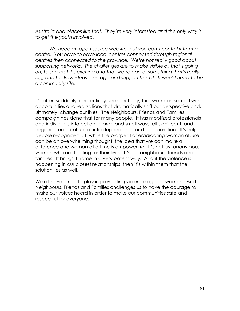*Australia and places like that. They"re very interested and the only way is to get the youth involved.*

*We need an open source website, but you can"t control it from a centre. You have to have local centres connected through regional centres then connected to the province. We"re not really good about supporting networks. The challenges are to make visible all that"s going on, to see that it"s exciting and that we"re part of something that"s really*  big, and to draw ideas, courage and support from it. It would need to be *a community site.*

It's often suddenly, and entirely unexpectedly, that we're presented with opportunities and realizations that dramatically shift our perspective and, ultimately, change our lives. The Neighbours, Friends and Families campaign has done that for many people. It has mobilized professionals and individuals into action in large and small ways, all significant, and engendered a culture of interdependence and collaboration. It's helped people recognize that, while the prospect of eradicating woman abuse can be an overwhelming thought, the idea that we can make a difference one woman at a time is empowering. It's not just anonymous women who are fighting for their lives. It's our neighbours, friends and families. It brings it home in a very potent way. And if the violence is happening in our closest relationships, then it's within them that the solution lies as well.

We all have a role to play in preventing violence against women. And Neighbours, Friends and Families challenges us to have the courage to make our voices heard in order to make our communities safe and respectful for everyone.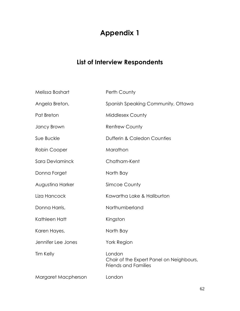## **Appendix 1**

## **List of Interview Respondents**

| Melissa Boshart     | Perth County                                                                      |
|---------------------|-----------------------------------------------------------------------------------|
| Angela Breton,      | Spanish Speaking Community, Ottawa                                                |
| Pat Breton          | <b>Middlesex County</b>                                                           |
| Jancy Brown         | <b>Renfrew County</b>                                                             |
| Sue Buckle          | <b>Dufferin &amp; Caledon Counties</b>                                            |
| Robin Cooper        | Marathon                                                                          |
| Sara Devlaminck     | Chatham-Kent                                                                      |
| Donna Forget        | North Bay                                                                         |
| Augustina Harker    | Simcoe County                                                                     |
| Liza Hancock        | Kawartha Lake & Haliburton                                                        |
| Donna Harris,       | Northumberland                                                                    |
| Kathleen Hatt       | Kingston                                                                          |
| Karen Hayes,        | North Bay                                                                         |
| Jennifer Lee Jones  | <b>York Region</b>                                                                |
| Tim Kelly           | London<br>Chair of the Expert Panel on Neighbours,<br><b>Friends and Families</b> |
| Margaret Macpherson | London                                                                            |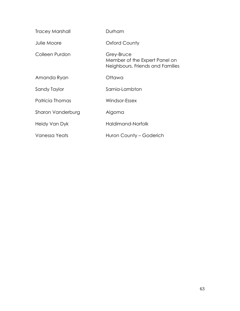| <b>Tracey Marshall</b> | Durham                                                                          |
|------------------------|---------------------------------------------------------------------------------|
| Julie Moore            | <b>Oxford County</b>                                                            |
| Colleen Purdon         | Grey-Bruce<br>Member of the Expert Panel on<br>Neighbours, Friends and Families |
| Amanda Ryan            | Ottawa                                                                          |
| Sandy Taylor           | Sarnia-Lambton                                                                  |
| Patricia Thomas        | Windsor-Essex                                                                   |
| Sharon Vanderburg      | Algoma                                                                          |
| Heidy Van Dyk          | Haldimand-Norfolk                                                               |
| Vanessa Yeats          | Huron County – Goderich                                                         |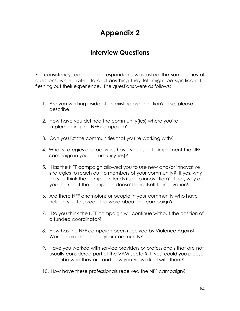## **Appendix 2**

## **Interview Questions**

For consistency, each of the respondents was asked the same series of questions, while invited to add anything they felt might be significant to fleshing out their experience. The questions were as follows:

- 1. Are you working inside of an existing organization? If so, please describe.
- 2. How have you defined the community(ies) where you're implementing the NFF campaign?
- 3. Can you list the communities that you're working with?
- 4. What strategies and activities have you used to implement the NFF campaign in your community(ies)?
- 5. Has the NFF campaign allowed you to use new and/or innovative strategies to reach out to members of your community? If yes, why do you think the campaign lends itself to innovation? If not, why do you think that the campaign doesn't lend itself to innovation?
- 6. Are there NFF champions or people in your community who have helped you to spread the word about the campaign?
- 7. Do you think the NFF campaign will continue without the position of a funded coordinator?
- 8. How has the NFF campaign been received by Violence Against Women professionals in your community?
- 9. Have you worked with service providers or professionals that are not usually considered part of the VAW sector? If yes, could you please describe who they are and how you've worked with them?
- 10. How have these professionals received the NFF campaign?